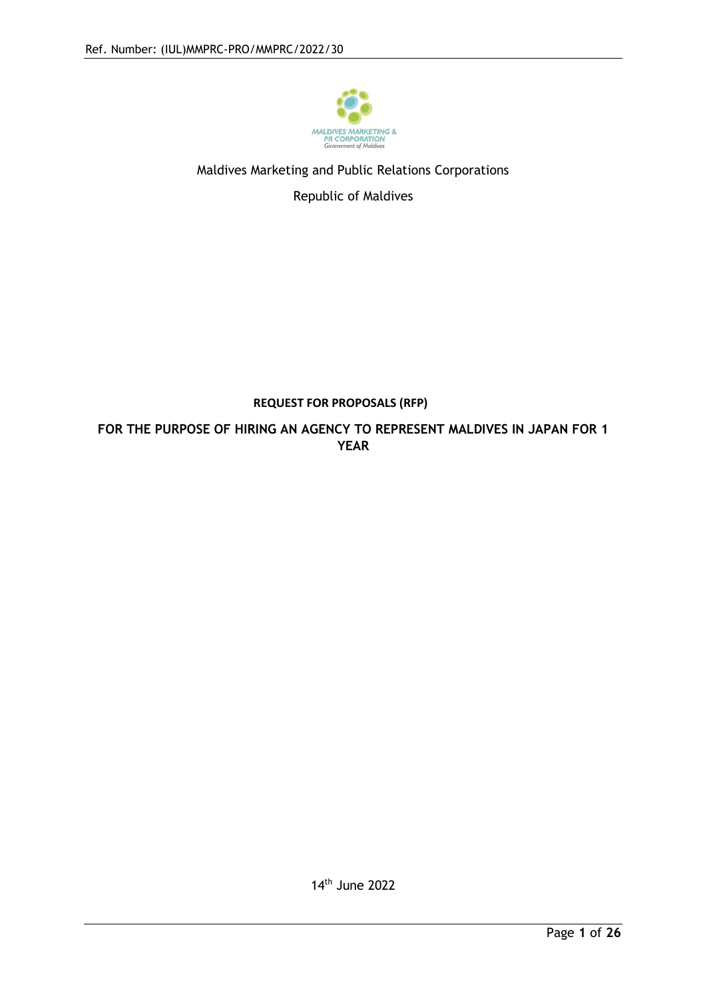

## Maldives Marketing and Public Relations Corporations

Republic of Maldives

## **REQUEST FOR PROPOSALS (RFP)**

**FOR THE PURPOSE OF HIRING AN AGENCY TO REPRESENT MALDIVES IN JAPAN FOR 1 YEAR**

14th June 2022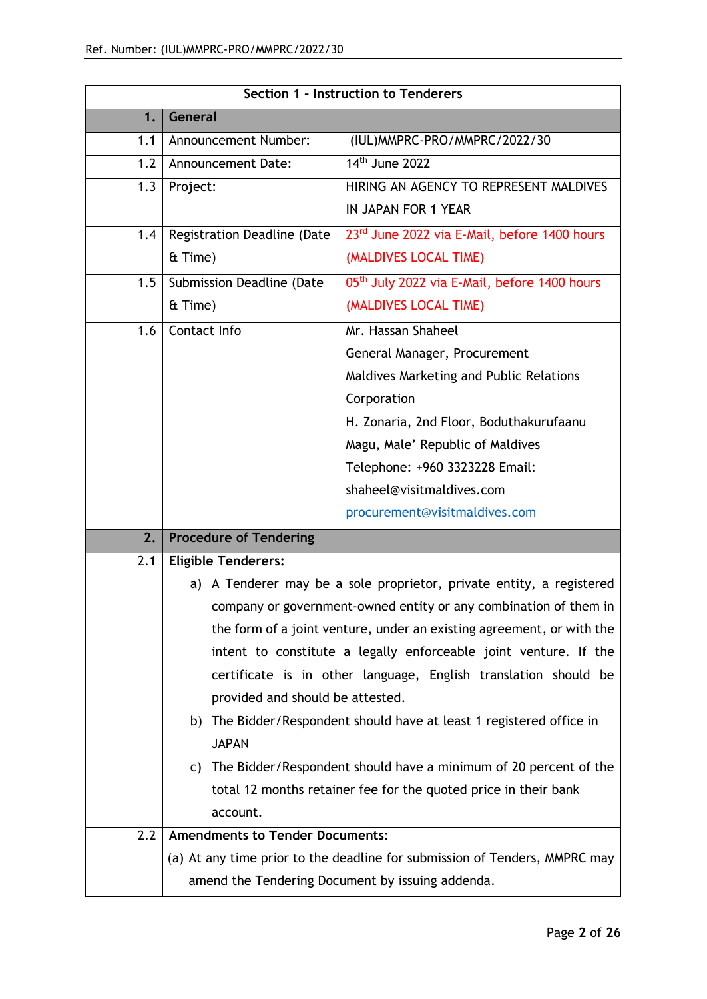| Section 1 - Instruction to Tenderers |                                                  |                                                                            |  |
|--------------------------------------|--------------------------------------------------|----------------------------------------------------------------------------|--|
| 1.                                   | General                                          |                                                                            |  |
| 1.1                                  | Announcement Number:                             | (IUL) MMPRC-PRO/MMPRC/2022/30                                              |  |
| 1.2                                  | 14 <sup>th</sup> June 2022<br>Announcement Date: |                                                                            |  |
| 1.3                                  | Project:                                         | HIRING AN AGENCY TO REPRESENT MALDIVES                                     |  |
|                                      |                                                  | IN JAPAN FOR 1 YEAR                                                        |  |
| 1.4                                  | Registration Deadline (Date                      | 23rd June 2022 via E-Mail, before 1400 hours                               |  |
|                                      | & Time)                                          | (MALDIVES LOCAL TIME)                                                      |  |
| 1.5                                  | Submission Deadline (Date                        | 05th July 2022 via E-Mail, before 1400 hours                               |  |
|                                      | & Time)                                          | (MALDIVES LOCAL TIME)                                                      |  |
| 1.6                                  | Contact Info                                     | Mr. Hassan Shaheel                                                         |  |
|                                      |                                                  | General Manager, Procurement                                               |  |
|                                      |                                                  | Maldives Marketing and Public Relations                                    |  |
|                                      |                                                  | Corporation                                                                |  |
|                                      |                                                  | H. Zonaria, 2nd Floor, Boduthakurufaanu                                    |  |
|                                      |                                                  | Magu, Male' Republic of Maldives                                           |  |
|                                      |                                                  | Telephone: +960 3323228 Email:                                             |  |
|                                      |                                                  | shaheel@visitmaldives.com                                                  |  |
|                                      |                                                  | procurement@visitmaldives.com                                              |  |
| 2.                                   | <b>Procedure of Tendering</b>                    |                                                                            |  |
| 2.1                                  | <b>Eligible Tenderers:</b>                       |                                                                            |  |
|                                      |                                                  | a) A Tenderer may be a sole proprietor, private entity, a registered       |  |
|                                      |                                                  | company or government-owned entity or any combination of them in           |  |
|                                      |                                                  | the form of a joint venture, under an existing agreement, or with the      |  |
|                                      |                                                  | intent to constitute a legally enforceable joint venture. If the           |  |
|                                      |                                                  | certificate is in other language, English translation should be            |  |
|                                      | provided and should be attested.                 |                                                                            |  |
|                                      |                                                  | b) The Bidder/Respondent should have at least 1 registered office in       |  |
|                                      | <b>JAPAN</b>                                     |                                                                            |  |
|                                      | C)                                               | The Bidder/Respondent should have a minimum of 20 percent of the           |  |
|                                      |                                                  | total 12 months retainer fee for the quoted price in their bank            |  |
|                                      | account.                                         |                                                                            |  |
| 2.2                                  | <b>Amendments to Tender Documents:</b>           |                                                                            |  |
|                                      |                                                  | (a) At any time prior to the deadline for submission of Tenders, MMPRC may |  |
|                                      |                                                  | amend the Tendering Document by issuing addenda.                           |  |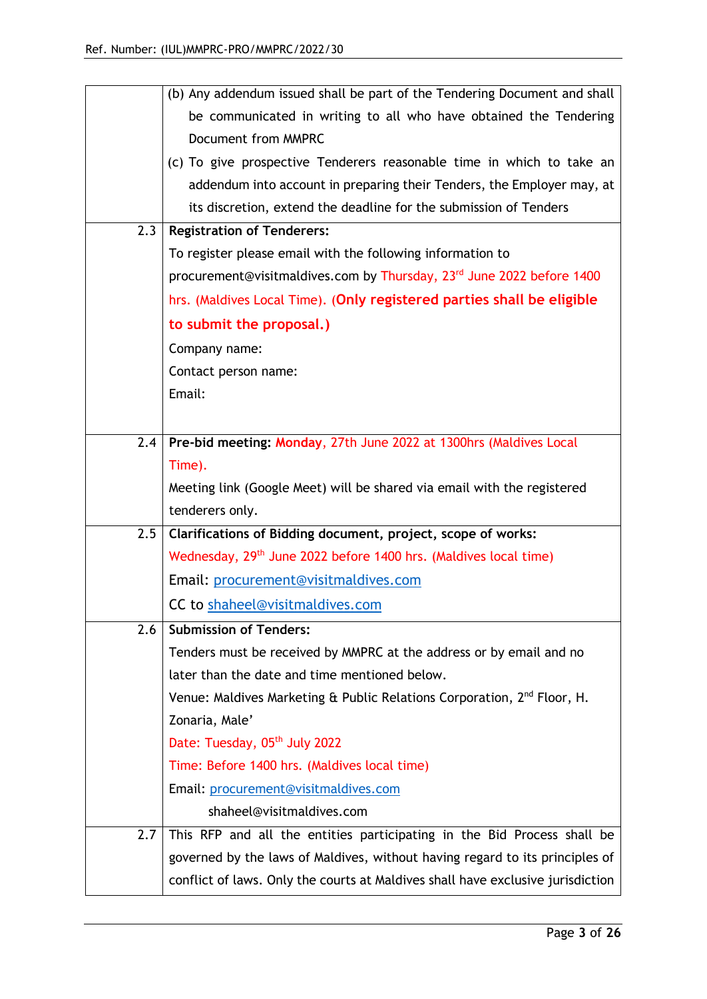|     | (b) Any addendum issued shall be part of the Tendering Document and shall           |
|-----|-------------------------------------------------------------------------------------|
|     | be communicated in writing to all who have obtained the Tendering                   |
|     | Document from MMPRC                                                                 |
|     | (c) To give prospective Tenderers reasonable time in which to take an               |
|     | addendum into account in preparing their Tenders, the Employer may, at              |
|     | its discretion, extend the deadline for the submission of Tenders                   |
| 2.3 | <b>Registration of Tenderers:</b>                                                   |
|     | To register please email with the following information to                          |
|     | procurement@visitmaldives.com by Thursday, 23 <sup>rd</sup> June 2022 before 1400   |
|     | hrs. (Maldives Local Time). (Only registered parties shall be eligible              |
|     | to submit the proposal.)                                                            |
|     | Company name:                                                                       |
|     | Contact person name:                                                                |
|     | Email:                                                                              |
|     |                                                                                     |
| 2.4 | Pre-bid meeting: Monday, 27th June 2022 at 1300hrs (Maldives Local                  |
|     | Time).                                                                              |
|     | Meeting link (Google Meet) will be shared via email with the registered             |
|     | tenderers only.                                                                     |
| 2.5 | Clarifications of Bidding document, project, scope of works:                        |
|     | Wednesday, 29 <sup>th</sup> June 2022 before 1400 hrs. (Maldives local time)        |
|     | Email: procurement@visitmaldives.com                                                |
|     | CC to shaheel@visitmaldives.com                                                     |
| 2.6 | <b>Submission of Tenders:</b>                                                       |
|     | Tenders must be received by MMPRC at the address or by email and no                 |
|     | later than the date and time mentioned below.                                       |
|     | Venue: Maldives Marketing & Public Relations Corporation, 2 <sup>nd</sup> Floor, H. |
|     | Zonaria, Male'                                                                      |
|     | Date: Tuesday, 05 <sup>th</sup> July 2022                                           |
|     | Time: Before 1400 hrs. (Maldives local time)                                        |
|     | Email: procurement@visitmaldives.com                                                |
|     | shaheel@visitmaldives.com                                                           |
| 2.7 | This RFP and all the entities participating in the Bid Process shall be             |
|     | governed by the laws of Maldives, without having regard to its principles of        |
|     | conflict of laws. Only the courts at Maldives shall have exclusive jurisdiction     |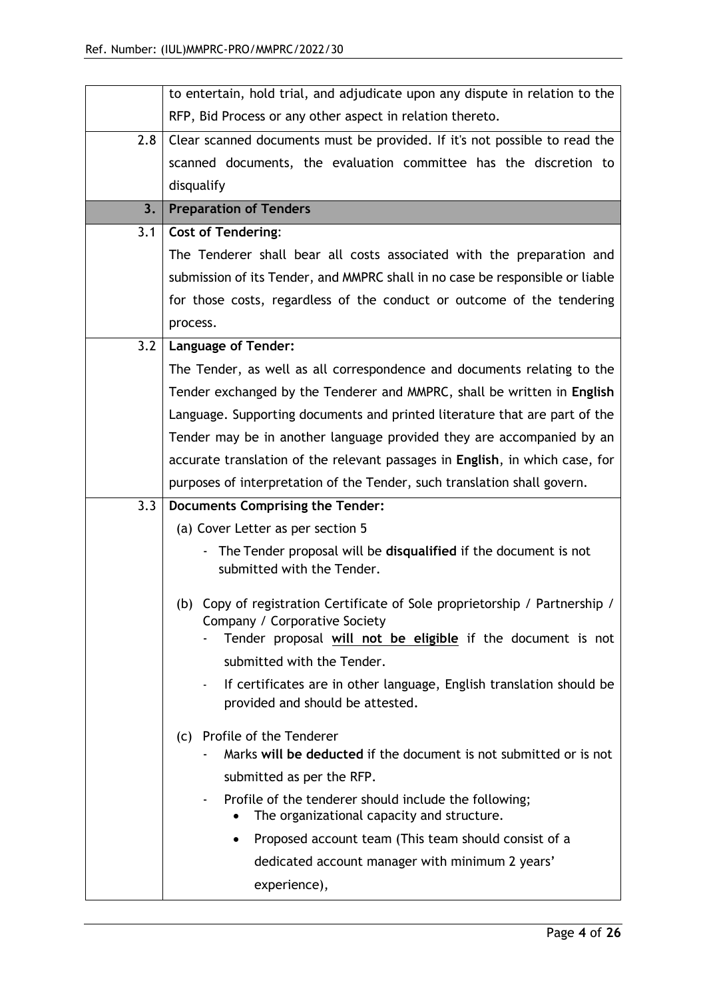|     | to entertain, hold trial, and adjudicate upon any dispute in relation to the                                                                                                |  |
|-----|-----------------------------------------------------------------------------------------------------------------------------------------------------------------------------|--|
|     | RFP, Bid Process or any other aspect in relation thereto.                                                                                                                   |  |
| 2.8 | Clear scanned documents must be provided. If it's not possible to read the                                                                                                  |  |
|     | scanned documents, the evaluation committee has the discretion to                                                                                                           |  |
|     | disqualify                                                                                                                                                                  |  |
| 3.  | <b>Preparation of Tenders</b>                                                                                                                                               |  |
| 3.1 | <b>Cost of Tendering:</b>                                                                                                                                                   |  |
|     | The Tenderer shall bear all costs associated with the preparation and                                                                                                       |  |
|     | submission of its Tender, and MMPRC shall in no case be responsible or liable                                                                                               |  |
|     | for those costs, regardless of the conduct or outcome of the tendering                                                                                                      |  |
|     | process.                                                                                                                                                                    |  |
| 3.2 | <b>Language of Tender:</b>                                                                                                                                                  |  |
|     | The Tender, as well as all correspondence and documents relating to the                                                                                                     |  |
|     | Tender exchanged by the Tenderer and MMPRC, shall be written in English                                                                                                     |  |
|     | Language. Supporting documents and printed literature that are part of the                                                                                                  |  |
|     | Tender may be in another language provided they are accompanied by an                                                                                                       |  |
|     | accurate translation of the relevant passages in English, in which case, for                                                                                                |  |
|     | purposes of interpretation of the Tender, such translation shall govern.                                                                                                    |  |
| 3.3 | Documents Comprising the Tender:                                                                                                                                            |  |
|     | (a) Cover Letter as per section 5                                                                                                                                           |  |
|     | The Tender proposal will be disqualified if the document is not<br>submitted with the Tender.                                                                               |  |
|     | (b) Copy of registration Certificate of Sole proprietorship / Partnership /<br>Company / Corporative Society<br>Tender proposal will not be eligible if the document is not |  |
|     | submitted with the Tender.                                                                                                                                                  |  |
|     | If certificates are in other language, English translation should be<br>provided and should be attested.                                                                    |  |
|     | (c) Profile of the Tenderer<br>Marks will be deducted if the document is not submitted or is not                                                                            |  |
|     | submitted as per the RFP.                                                                                                                                                   |  |
|     | Profile of the tenderer should include the following;<br>The organizational capacity and structure.                                                                         |  |
|     | Proposed account team (This team should consist of a<br>٠                                                                                                                   |  |
|     | dedicated account manager with minimum 2 years'                                                                                                                             |  |
|     | experience),                                                                                                                                                                |  |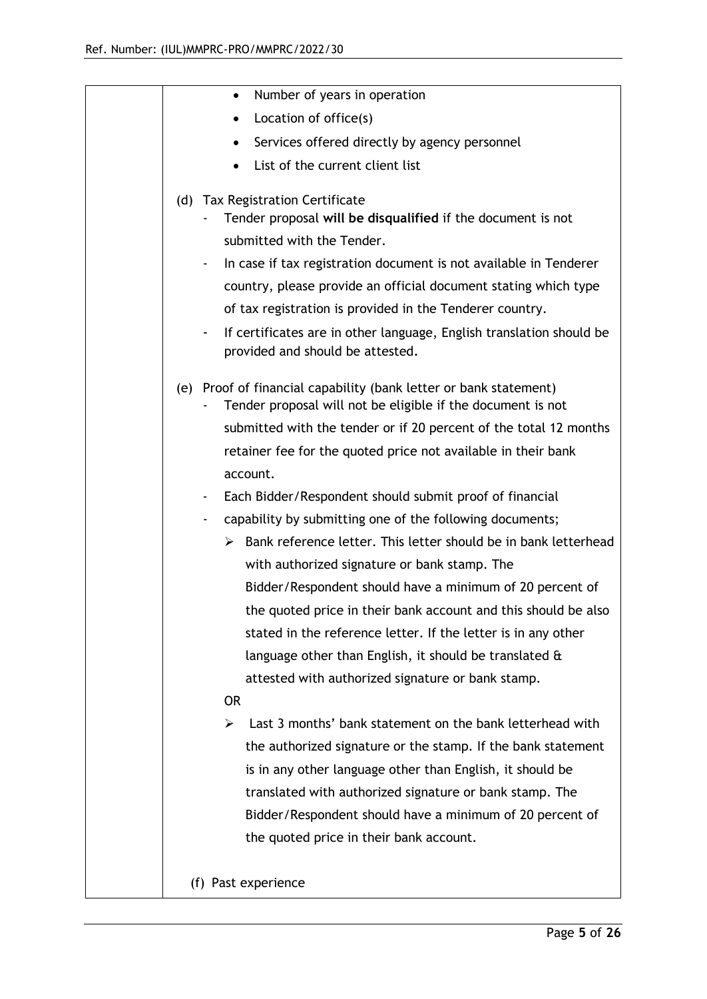| Number of years in operation<br>$\bullet$                                                                                        |
|----------------------------------------------------------------------------------------------------------------------------------|
| Location of office(s)                                                                                                            |
| Services offered directly by agency personnel                                                                                    |
| List of the current client list                                                                                                  |
| (d) Tax Registration Certificate                                                                                                 |
| Tender proposal will be disqualified if the document is not                                                                      |
| submitted with the Tender.                                                                                                       |
| In case if tax registration document is not available in Tenderer                                                                |
| country, please provide an official document stating which type                                                                  |
| of tax registration is provided in the Tenderer country.                                                                         |
| If certificates are in other language, English translation should be<br>-<br>provided and should be attested.                    |
| (e) Proof of financial capability (bank letter or bank statement)<br>Tender proposal will not be eligible if the document is not |
| submitted with the tender or if 20 percent of the total 12 months                                                                |
| retainer fee for the quoted price not available in their bank                                                                    |
| account.                                                                                                                         |
| Each Bidder/Respondent should submit proof of financial<br>٠                                                                     |
| capability by submitting one of the following documents;                                                                         |
| Bank reference letter. This letter should be in bank letterhead<br>➤                                                             |
| with authorized signature or bank stamp. The                                                                                     |
| Bidder/Respondent should have a minimum of 20 percent of                                                                         |
| the quoted price in their bank account and this should be also                                                                   |
| stated in the reference letter. If the letter is in any other                                                                    |
| language other than English, it should be translated $\alpha$                                                                    |
| attested with authorized signature or bank stamp.                                                                                |
| <b>OR</b>                                                                                                                        |
| Last 3 months' bank statement on the bank letterhead with<br>➤                                                                   |
| the authorized signature or the stamp. If the bank statement                                                                     |
| is in any other language other than English, it should be                                                                        |
| translated with authorized signature or bank stamp. The                                                                          |
| Bidder/Respondent should have a minimum of 20 percent of                                                                         |
| the quoted price in their bank account.                                                                                          |
|                                                                                                                                  |
| (f) Past experience                                                                                                              |
|                                                                                                                                  |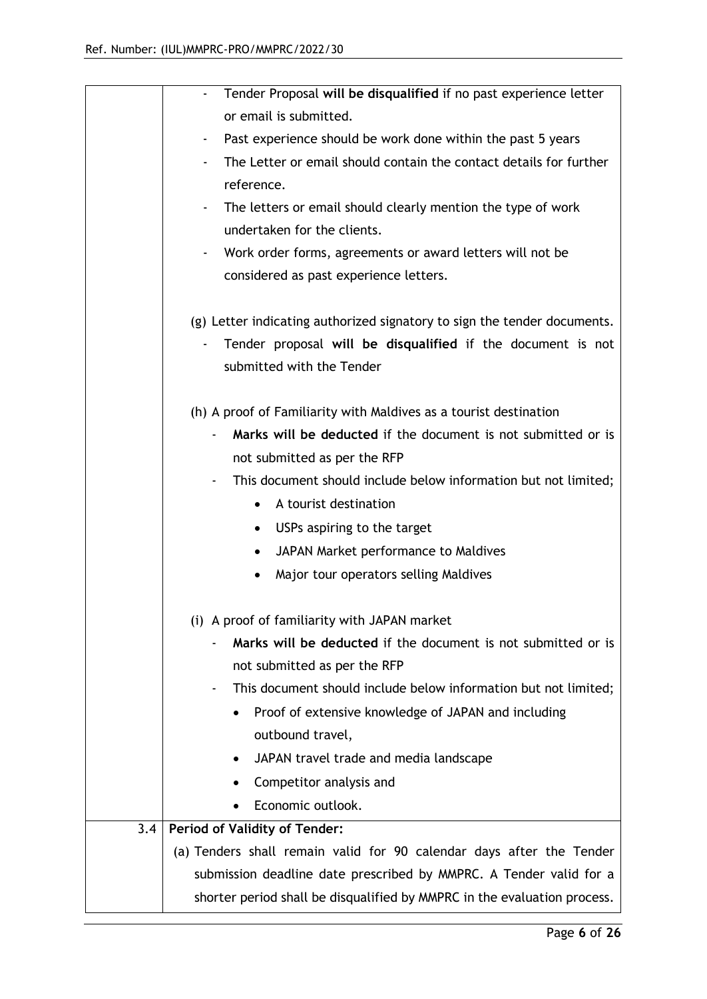|     | Tender Proposal will be disqualified if no past experience letter        |
|-----|--------------------------------------------------------------------------|
|     | or email is submitted.                                                   |
|     | Past experience should be work done within the past 5 years<br>٠         |
|     | The Letter or email should contain the contact details for further       |
|     | reference.                                                               |
|     | The letters or email should clearly mention the type of work             |
|     | undertaken for the clients.                                              |
|     | Work order forms, agreements or award letters will not be<br>٠           |
|     | considered as past experience letters.                                   |
|     | (g) Letter indicating authorized signatory to sign the tender documents. |
|     | Tender proposal will be disqualified if the document is not              |
|     | submitted with the Tender                                                |
|     | (h) A proof of Familiarity with Maldives as a tourist destination        |
|     | Marks will be deducted if the document is not submitted or is            |
|     | not submitted as per the RFP                                             |
|     | This document should include below information but not limited;          |
|     | A tourist destination<br>$\bullet$                                       |
|     | USPs aspiring to the target<br>$\bullet$                                 |
|     | JAPAN Market performance to Maldives                                     |
|     | Major tour operators selling Maldives                                    |
|     | (i) A proof of familiarity with JAPAN market                             |
|     | Marks will be deducted if the document is not submitted or is            |
|     | not submitted as per the RFP                                             |
|     | This document should include below information but not limited;          |
|     | Proof of extensive knowledge of JAPAN and including                      |
|     | outbound travel,                                                         |
|     | JAPAN travel trade and media landscape                                   |
|     | Competitor analysis and                                                  |
|     | Economic outlook.<br>٠                                                   |
| 3.4 | <b>Period of Validity of Tender:</b>                                     |
|     | (a) Tenders shall remain valid for 90 calendar days after the Tender     |
|     | submission deadline date prescribed by MMPRC. A Tender valid for a       |
|     | shorter period shall be disqualified by MMPRC in the evaluation process. |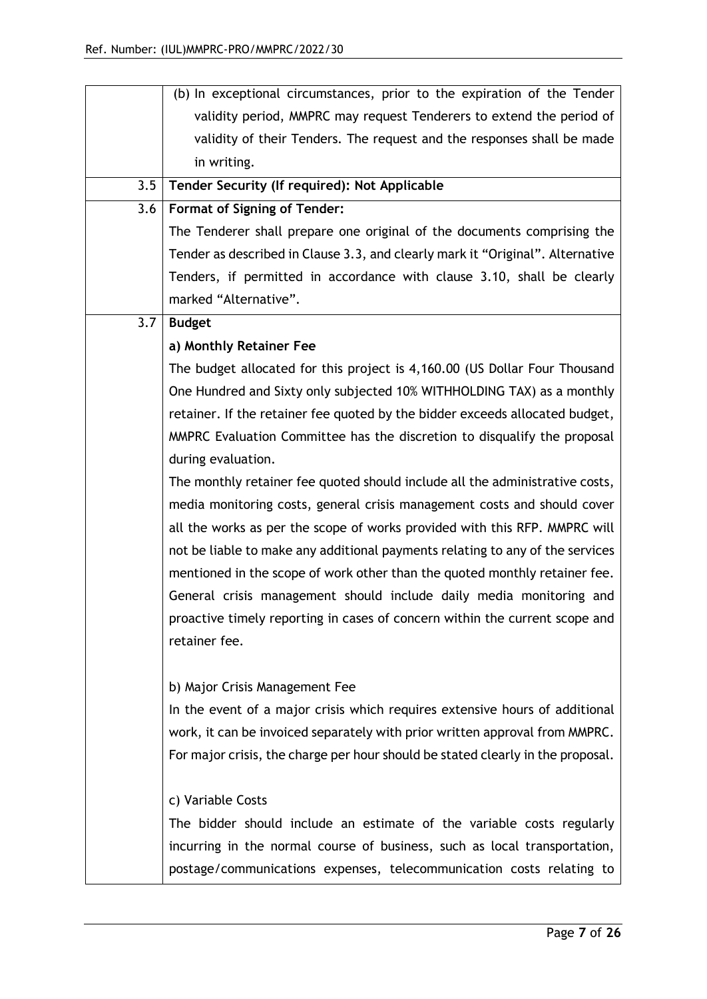|     | (b) In exceptional circumstances, prior to the expiration of the Tender         |
|-----|---------------------------------------------------------------------------------|
|     | validity period, MMPRC may request Tenderers to extend the period of            |
|     | validity of their Tenders. The request and the responses shall be made          |
|     | in writing.                                                                     |
| 3.5 | Tender Security (If required): Not Applicable                                   |
| 3.6 | <b>Format of Signing of Tender:</b>                                             |
|     | The Tenderer shall prepare one original of the documents comprising the         |
|     | Tender as described in Clause 3.3, and clearly mark it "Original". Alternative  |
|     | Tenders, if permitted in accordance with clause 3.10, shall be clearly          |
|     | marked "Alternative".                                                           |
| 3.7 | <b>Budget</b>                                                                   |
|     | a) Monthly Retainer Fee                                                         |
|     | The budget allocated for this project is 4,160.00 (US Dollar Four Thousand      |
|     | One Hundred and Sixty only subjected 10% WITHHOLDING TAX) as a monthly          |
|     | retainer. If the retainer fee quoted by the bidder exceeds allocated budget,    |
|     | MMPRC Evaluation Committee has the discretion to disqualify the proposal        |
|     | during evaluation.                                                              |
|     | The monthly retainer fee quoted should include all the administrative costs,    |
|     | media monitoring costs, general crisis management costs and should cover        |
|     | all the works as per the scope of works provided with this RFP. MMPRC will      |
|     | not be liable to make any additional payments relating to any of the services   |
|     | mentioned in the scope of work other than the quoted monthly retainer fee.      |
|     | General crisis management should include daily media monitoring and             |
|     | proactive timely reporting in cases of concern within the current scope and     |
|     | retainer fee.                                                                   |
|     | b) Major Crisis Management Fee                                                  |
|     | In the event of a major crisis which requires extensive hours of additional     |
|     | work, it can be invoiced separately with prior written approval from MMPRC.     |
|     | For major crisis, the charge per hour should be stated clearly in the proposal. |
|     |                                                                                 |
|     | c) Variable Costs                                                               |
|     | The bidder should include an estimate of the variable costs regularly           |
|     | incurring in the normal course of business, such as local transportation,       |
|     | postage/communications expenses, telecommunication costs relating to            |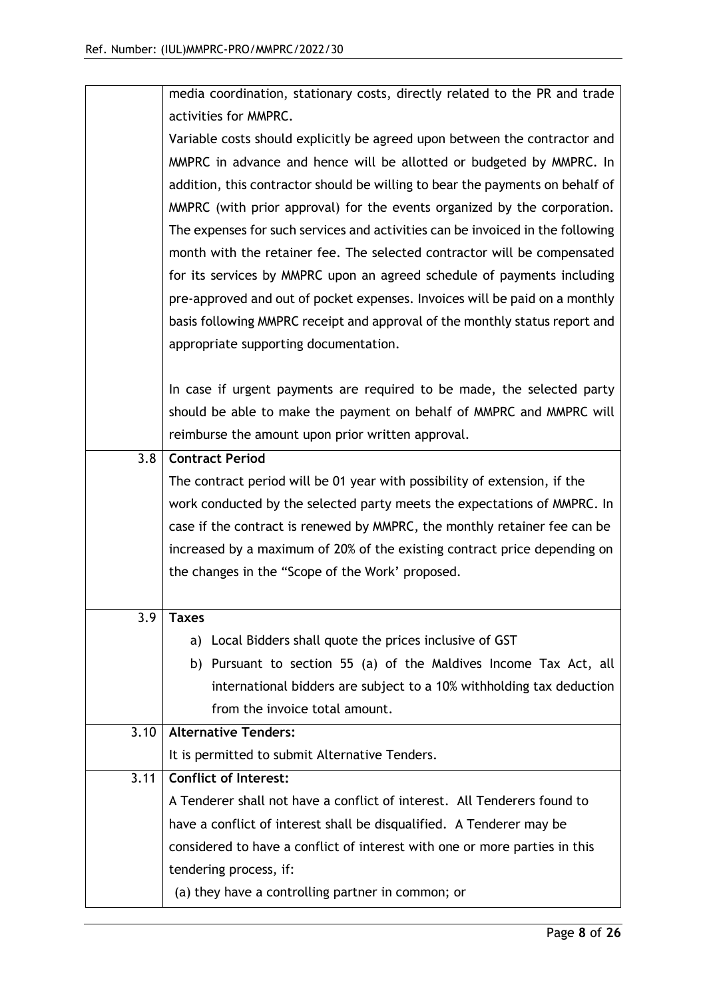|      | media coordination, stationary costs, directly related to the PR and trade     |  |  |
|------|--------------------------------------------------------------------------------|--|--|
|      | activities for MMPRC.                                                          |  |  |
|      | Variable costs should explicitly be agreed upon between the contractor and     |  |  |
|      | MMPRC in advance and hence will be allotted or budgeted by MMPRC. In           |  |  |
|      | addition, this contractor should be willing to bear the payments on behalf of  |  |  |
|      | MMPRC (with prior approval) for the events organized by the corporation.       |  |  |
|      | The expenses for such services and activities can be invoiced in the following |  |  |
|      | month with the retainer fee. The selected contractor will be compensated       |  |  |
|      | for its services by MMPRC upon an agreed schedule of payments including        |  |  |
|      | pre-approved and out of pocket expenses. Invoices will be paid on a monthly    |  |  |
|      | basis following MMPRC receipt and approval of the monthly status report and    |  |  |
|      | appropriate supporting documentation.                                          |  |  |
|      |                                                                                |  |  |
|      | In case if urgent payments are required to be made, the selected party         |  |  |
|      | should be able to make the payment on behalf of MMPRC and MMPRC will           |  |  |
|      | reimburse the amount upon prior written approval.                              |  |  |
| 3.8  | <b>Contract Period</b>                                                         |  |  |
|      | The contract period will be 01 year with possibility of extension, if the      |  |  |
|      | work conducted by the selected party meets the expectations of MMPRC. In       |  |  |
|      | case if the contract is renewed by MMPRC, the monthly retainer fee can be      |  |  |
|      | increased by a maximum of 20% of the existing contract price depending on      |  |  |
|      | the changes in the "Scope of the Work' proposed.                               |  |  |
|      |                                                                                |  |  |
| 3.9  | <b>Taxes</b>                                                                   |  |  |
|      | a) Local Bidders shall quote the prices inclusive of GST                       |  |  |
|      | b) Pursuant to section 55 (a) of the Maldives Income Tax Act, all              |  |  |
|      | international bidders are subject to a 10% withholding tax deduction           |  |  |
|      | from the invoice total amount.                                                 |  |  |
| 3.10 | <b>Alternative Tenders:</b>                                                    |  |  |
|      | It is permitted to submit Alternative Tenders.                                 |  |  |
| 3.11 | <b>Conflict of Interest:</b>                                                   |  |  |
|      | A Tenderer shall not have a conflict of interest. All Tenderers found to       |  |  |
|      | have a conflict of interest shall be disqualified. A Tenderer may be           |  |  |
|      | considered to have a conflict of interest with one or more parties in this     |  |  |
|      | tendering process, if:                                                         |  |  |
|      | (a) they have a controlling partner in common; or                              |  |  |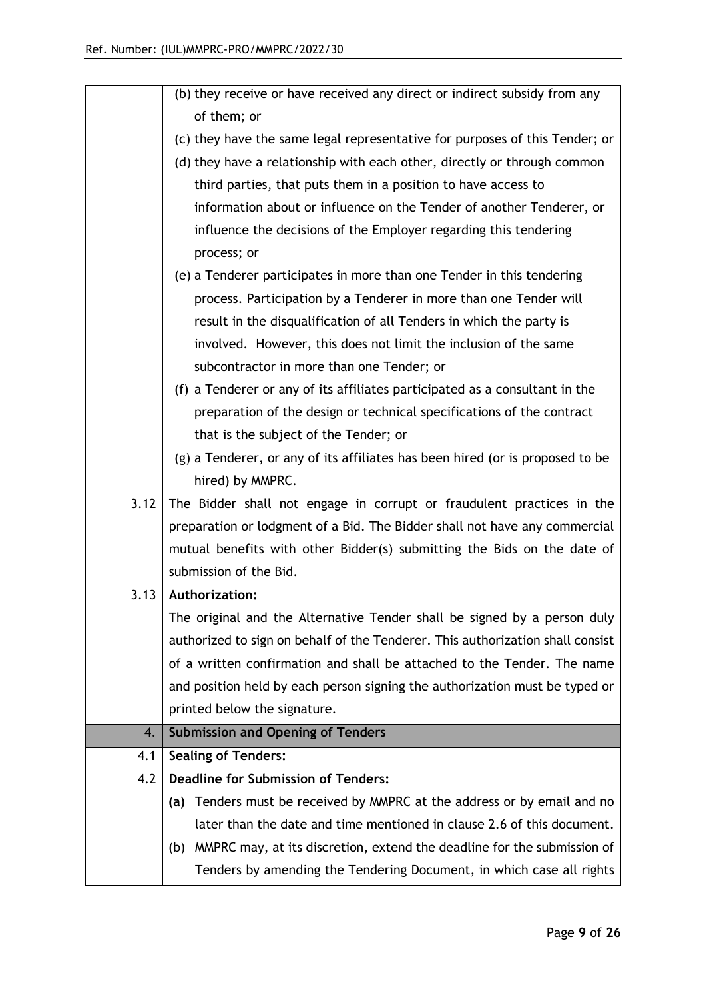|      | (b) they receive or have received any direct or indirect subsidy from any      |
|------|--------------------------------------------------------------------------------|
|      | of them; or                                                                    |
|      | (c) they have the same legal representative for purposes of this Tender; or    |
|      | (d) they have a relationship with each other, directly or through common       |
|      | third parties, that puts them in a position to have access to                  |
|      | information about or influence on the Tender of another Tenderer, or           |
|      | influence the decisions of the Employer regarding this tendering               |
|      | process; or                                                                    |
|      | (e) a Tenderer participates in more than one Tender in this tendering          |
|      | process. Participation by a Tenderer in more than one Tender will              |
|      | result in the disqualification of all Tenders in which the party is            |
|      | involved. However, this does not limit the inclusion of the same               |
|      | subcontractor in more than one Tender; or                                      |
|      | (f) a Tenderer or any of its affiliates participated as a consultant in the    |
|      | preparation of the design or technical specifications of the contract          |
|      | that is the subject of the Tender; or                                          |
|      | (g) a Tenderer, or any of its affiliates has been hired (or is proposed to be  |
|      | hired) by MMPRC.                                                               |
| 3.12 | The Bidder shall not engage in corrupt or fraudulent practices in the          |
|      | preparation or lodgment of a Bid. The Bidder shall not have any commercial     |
|      | mutual benefits with other Bidder(s) submitting the Bids on the date of        |
|      | submission of the Bid.                                                         |
| 3.13 | Authorization:                                                                 |
|      | The original and the Alternative Tender shall be signed by a person duly       |
|      | authorized to sign on behalf of the Tenderer. This authorization shall consist |
|      | of a written confirmation and shall be attached to the Tender. The name        |
|      | and position held by each person signing the authorization must be typed or    |
|      | printed below the signature.                                                   |
| 4.   | <b>Submission and Opening of Tenders</b>                                       |
| 4.1  | <b>Sealing of Tenders:</b>                                                     |
| 4.2  | <b>Deadline for Submission of Tenders:</b>                                     |
|      | Tenders must be received by MMPRC at the address or by email and no<br>(a)     |
|      | later than the date and time mentioned in clause 2.6 of this document.         |
|      | (b) MMPRC may, at its discretion, extend the deadline for the submission of    |
|      | Tenders by amending the Tendering Document, in which case all rights           |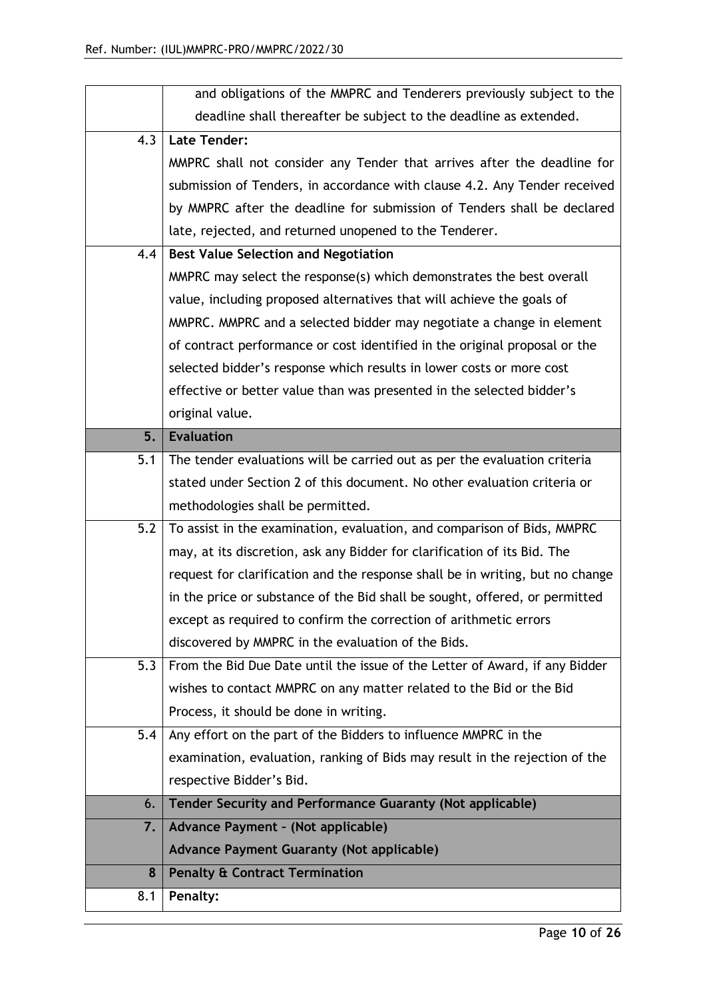|     | and obligations of the MMPRC and Tenderers previously subject to the          |
|-----|-------------------------------------------------------------------------------|
|     | deadline shall thereafter be subject to the deadline as extended.             |
| 4.3 | <b>Late Tender:</b>                                                           |
|     | MMPRC shall not consider any Tender that arrives after the deadline for       |
|     | submission of Tenders, in accordance with clause 4.2. Any Tender received     |
|     | by MMPRC after the deadline for submission of Tenders shall be declared       |
|     | late, rejected, and returned unopened to the Tenderer.                        |
| 4.4 | <b>Best Value Selection and Negotiation</b>                                   |
|     | MMPRC may select the response(s) which demonstrates the best overall          |
|     | value, including proposed alternatives that will achieve the goals of         |
|     | MMPRC. MMPRC and a selected bidder may negotiate a change in element          |
|     | of contract performance or cost identified in the original proposal or the    |
|     | selected bidder's response which results in lower costs or more cost          |
|     | effective or better value than was presented in the selected bidder's         |
|     | original value.                                                               |
| 5.  | <b>Evaluation</b>                                                             |
| 5.1 | The tender evaluations will be carried out as per the evaluation criteria     |
|     | stated under Section 2 of this document. No other evaluation criteria or      |
|     | methodologies shall be permitted.                                             |
| 5.2 | To assist in the examination, evaluation, and comparison of Bids, MMPRC       |
|     | may, at its discretion, ask any Bidder for clarification of its Bid. The      |
|     | request for clarification and the response shall be in writing, but no change |
|     | in the price or substance of the Bid shall be sought, offered, or permitted   |
|     | except as required to confirm the correction of arithmetic errors             |
|     | discovered by MMPRC in the evaluation of the Bids.                            |
| 5.3 | From the Bid Due Date until the issue of the Letter of Award, if any Bidder   |
|     | wishes to contact MMPRC on any matter related to the Bid or the Bid           |
|     | Process, it should be done in writing.                                        |
| 5.4 | Any effort on the part of the Bidders to influence MMPRC in the               |
|     | examination, evaluation, ranking of Bids may result in the rejection of the   |
|     | respective Bidder's Bid.                                                      |
| 6.  | <b>Tender Security and Performance Guaranty (Not applicable)</b>              |
| 7.  | Advance Payment - (Not applicable)                                            |
|     | <b>Advance Payment Guaranty (Not applicable)</b>                              |
| 8   | <b>Penalty &amp; Contract Termination</b>                                     |
| 8.1 | Penalty:                                                                      |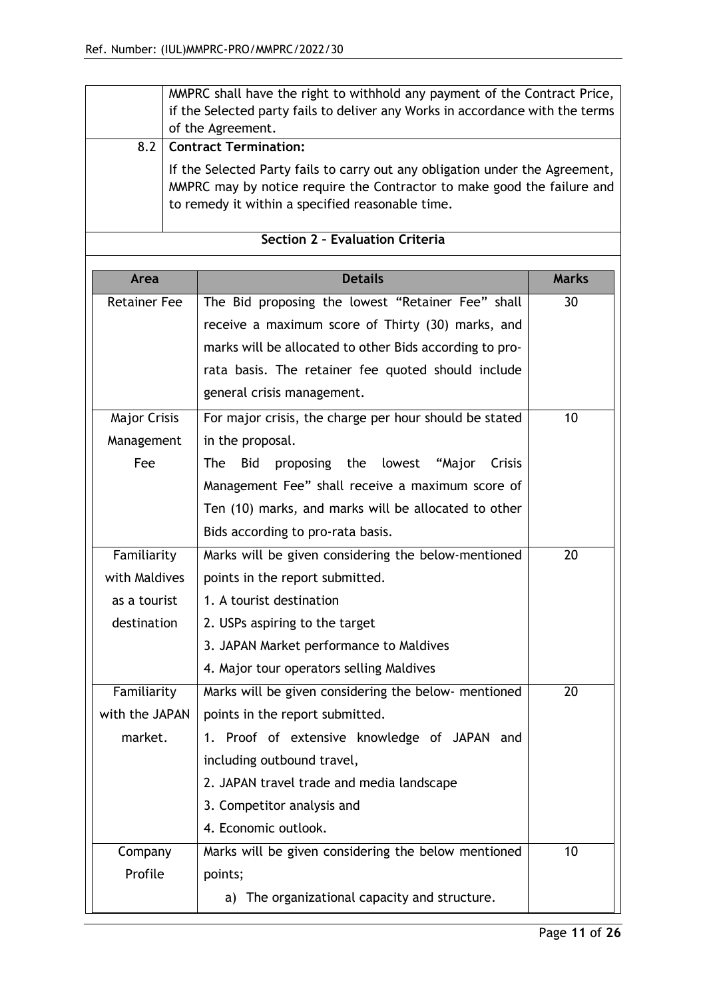|                                                                                                                                                                                                             | MMPRC shall have the right to withhold any payment of the Contract Price,<br>if the Selected party fails to deliver any Works in accordance with the terms<br>of the Agreement. |                                                            |              |
|-------------------------------------------------------------------------------------------------------------------------------------------------------------------------------------------------------------|---------------------------------------------------------------------------------------------------------------------------------------------------------------------------------|------------------------------------------------------------|--------------|
| 8.2                                                                                                                                                                                                         | <b>Contract Termination:</b>                                                                                                                                                    |                                                            |              |
| If the Selected Party fails to carry out any obligation under the Agreement,<br>MMPRC may by notice require the Contractor to make good the failure and<br>to remedy it within a specified reasonable time. |                                                                                                                                                                                 |                                                            |              |
|                                                                                                                                                                                                             |                                                                                                                                                                                 | Section 2 - Evaluation Criteria                            |              |
| Area                                                                                                                                                                                                        |                                                                                                                                                                                 | <b>Details</b>                                             | <b>Marks</b> |
| <b>Retainer Fee</b>                                                                                                                                                                                         |                                                                                                                                                                                 | The Bid proposing the lowest "Retainer Fee" shall          | 30           |
|                                                                                                                                                                                                             |                                                                                                                                                                                 | receive a maximum score of Thirty (30) marks, and          |              |
|                                                                                                                                                                                                             |                                                                                                                                                                                 | marks will be allocated to other Bids according to pro-    |              |
|                                                                                                                                                                                                             |                                                                                                                                                                                 | rata basis. The retainer fee quoted should include         |              |
|                                                                                                                                                                                                             |                                                                                                                                                                                 | general crisis management.                                 |              |
| <b>Major Crisis</b>                                                                                                                                                                                         |                                                                                                                                                                                 | For major crisis, the charge per hour should be stated     | 10           |
| Management                                                                                                                                                                                                  |                                                                                                                                                                                 | in the proposal.                                           |              |
| Fee                                                                                                                                                                                                         |                                                                                                                                                                                 | <b>The</b><br>Bid<br>proposing the lowest "Major<br>Crisis |              |
|                                                                                                                                                                                                             |                                                                                                                                                                                 | Management Fee" shall receive a maximum score of           |              |
|                                                                                                                                                                                                             |                                                                                                                                                                                 | Ten (10) marks, and marks will be allocated to other       |              |
|                                                                                                                                                                                                             |                                                                                                                                                                                 | Bids according to pro-rata basis.                          |              |
| Familiarity                                                                                                                                                                                                 |                                                                                                                                                                                 | Marks will be given considering the below-mentioned        | 20           |
| with Maldives                                                                                                                                                                                               |                                                                                                                                                                                 | points in the report submitted.                            |              |
| as a tourist                                                                                                                                                                                                |                                                                                                                                                                                 | 1. A tourist destination                                   |              |
| destination                                                                                                                                                                                                 |                                                                                                                                                                                 | 2. USPs aspiring to the target                             |              |
|                                                                                                                                                                                                             |                                                                                                                                                                                 | 3. JAPAN Market performance to Maldives                    |              |
|                                                                                                                                                                                                             |                                                                                                                                                                                 | 4. Major tour operators selling Maldives                   |              |
| Familiarity                                                                                                                                                                                                 |                                                                                                                                                                                 | Marks will be given considering the below- mentioned       | 20           |
| with the JAPAN                                                                                                                                                                                              |                                                                                                                                                                                 | points in the report submitted.                            |              |
| market.                                                                                                                                                                                                     |                                                                                                                                                                                 | 1. Proof of extensive knowledge of JAPAN and               |              |
|                                                                                                                                                                                                             |                                                                                                                                                                                 | including outbound travel,                                 |              |
|                                                                                                                                                                                                             |                                                                                                                                                                                 | 2. JAPAN travel trade and media landscape                  |              |
|                                                                                                                                                                                                             |                                                                                                                                                                                 | 3. Competitor analysis and                                 |              |
|                                                                                                                                                                                                             |                                                                                                                                                                                 | 4. Economic outlook.                                       |              |
| Company                                                                                                                                                                                                     |                                                                                                                                                                                 | Marks will be given considering the below mentioned        | 10           |
| Profile                                                                                                                                                                                                     |                                                                                                                                                                                 | points;                                                    |              |
|                                                                                                                                                                                                             |                                                                                                                                                                                 | The organizational capacity and structure.<br>a)           |              |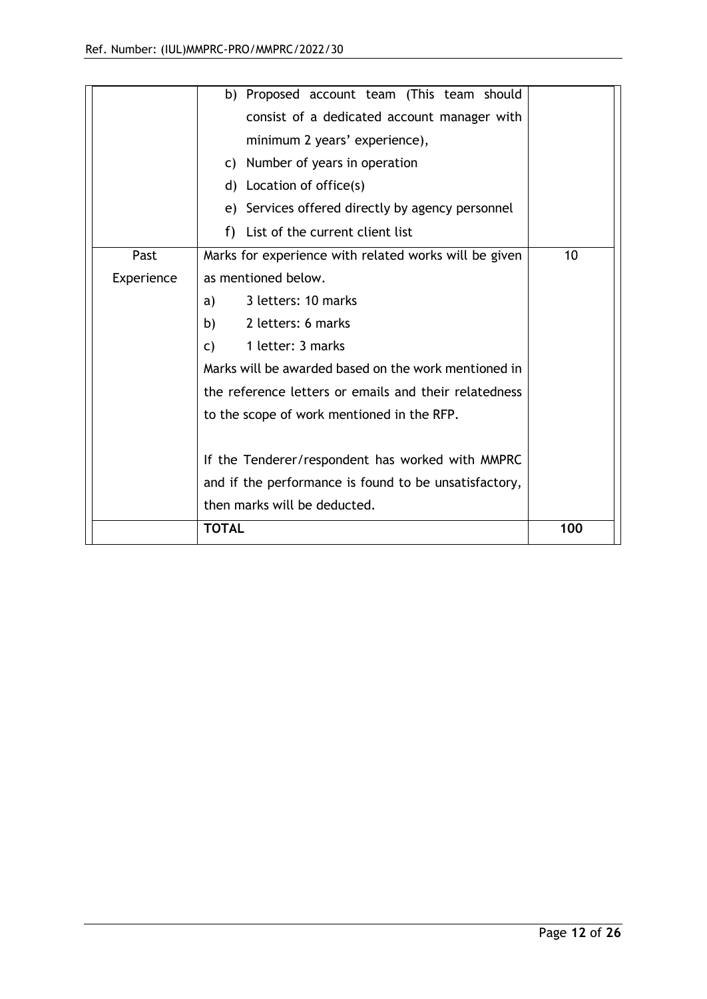|            | b) Proposed account team (This team should            |     |
|------------|-------------------------------------------------------|-----|
|            | consist of a dedicated account manager with           |     |
|            | minimum 2 years' experience),                         |     |
|            | c) Number of years in operation                       |     |
|            | Location of office(s)<br>d)                           |     |
|            | e) Services offered directly by agency personnel      |     |
|            | f) List of the current client list                    |     |
| Past       | Marks for experience with related works will be given | 10  |
| Experience | as mentioned below.                                   |     |
|            | 3 letters: 10 marks<br>a)                             |     |
|            | 2 letters: 6 marks<br>b)                              |     |
|            | 1 letter: 3 marks<br>C)                               |     |
|            | Marks will be awarded based on the work mentioned in  |     |
|            | the reference letters or emails and their relatedness |     |
|            | to the scope of work mentioned in the RFP.            |     |
|            |                                                       |     |
|            | If the Tenderer/respondent has worked with MMPRC      |     |
|            | and if the performance is found to be unsatisfactory, |     |
|            | then marks will be deducted.                          |     |
|            | <b>TOTAL</b>                                          | 100 |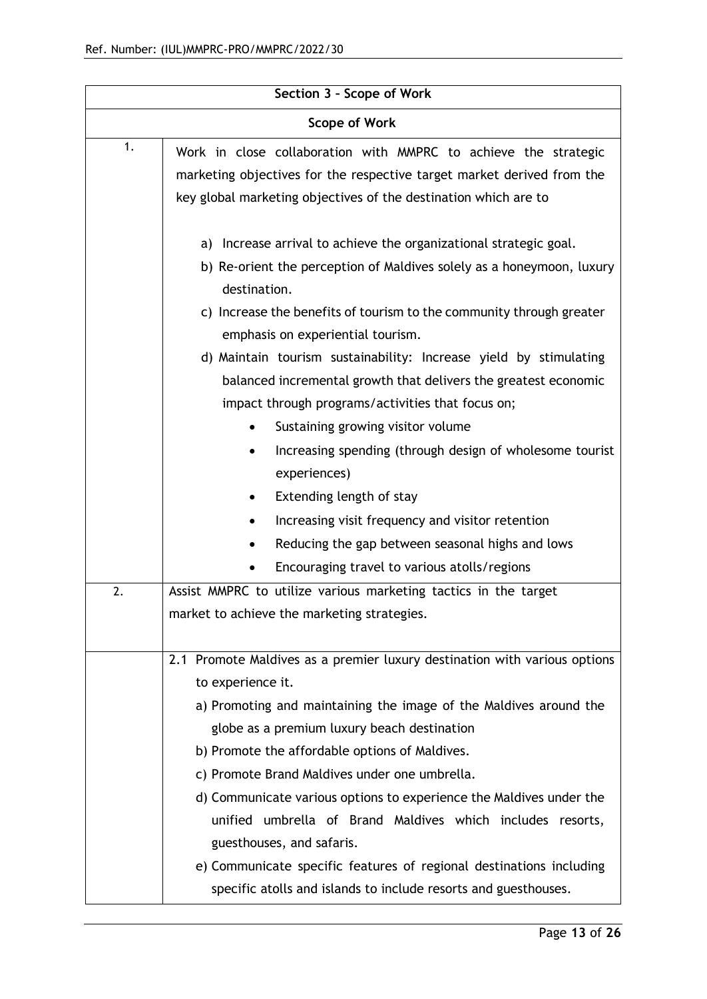| Section 3 - Scope of Work |                                                                           |  |
|---------------------------|---------------------------------------------------------------------------|--|
| <b>Scope of Work</b>      |                                                                           |  |
| 1.                        | Work in close collaboration with MMPRC to achieve the strategic           |  |
|                           | marketing objectives for the respective target market derived from the    |  |
|                           | key global marketing objectives of the destination which are to           |  |
|                           | Increase arrival to achieve the organizational strategic goal.<br>a)      |  |
|                           | b) Re-orient the perception of Maldives solely as a honeymoon, luxury     |  |
|                           | destination.                                                              |  |
|                           | c) Increase the benefits of tourism to the community through greater      |  |
|                           | emphasis on experiential tourism.                                         |  |
|                           | d) Maintain tourism sustainability: Increase yield by stimulating         |  |
|                           | balanced incremental growth that delivers the greatest economic           |  |
|                           | impact through programs/activities that focus on;                         |  |
|                           | Sustaining growing visitor volume                                         |  |
|                           | Increasing spending (through design of wholesome tourist                  |  |
|                           | experiences)                                                              |  |
|                           | Extending length of stay<br>٠                                             |  |
|                           | Increasing visit frequency and visitor retention                          |  |
|                           | Reducing the gap between seasonal highs and lows                          |  |
|                           | Encouraging travel to various atolls/regions                              |  |
| 2.                        | Assist MMPRC to utilize various marketing tactics in the target           |  |
|                           | market to achieve the marketing strategies.                               |  |
|                           |                                                                           |  |
|                           | 2.1 Promote Maldives as a premier luxury destination with various options |  |
|                           | to experience it.                                                         |  |
|                           | a) Promoting and maintaining the image of the Maldives around the         |  |
|                           | globe as a premium luxury beach destination                               |  |
|                           | b) Promote the affordable options of Maldives.                            |  |
|                           | c) Promote Brand Maldives under one umbrella.                             |  |
|                           | d) Communicate various options to experience the Maldives under the       |  |
|                           | unified umbrella of Brand Maldives which includes resorts,                |  |
|                           | guesthouses, and safaris.                                                 |  |
|                           | e) Communicate specific features of regional destinations including       |  |
|                           | specific atolls and islands to include resorts and guesthouses.           |  |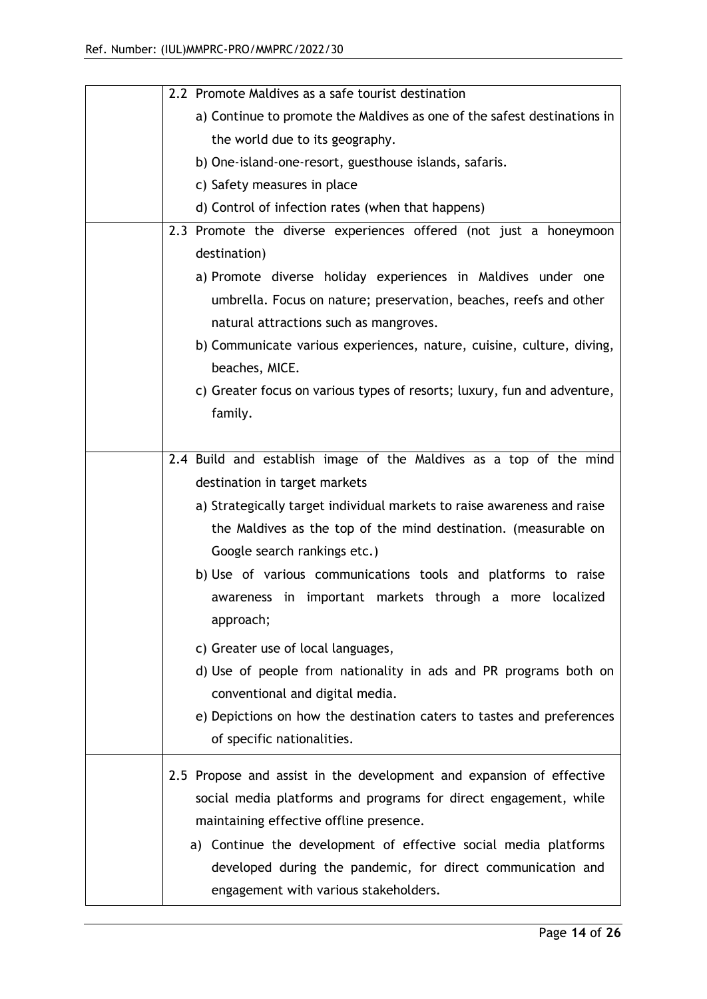|  | 2.2 Promote Maldives as a safe tourist destination                       |
|--|--------------------------------------------------------------------------|
|  | a) Continue to promote the Maldives as one of the safest destinations in |
|  | the world due to its geography.                                          |
|  | b) One-island-one-resort, guesthouse islands, safaris.                   |
|  | c) Safety measures in place                                              |
|  | d) Control of infection rates (when that happens)                        |
|  | 2.3 Promote the diverse experiences offered (not just a honeymoon        |
|  | destination)                                                             |
|  | a) Promote diverse holiday experiences in Maldives under one             |
|  | umbrella. Focus on nature; preservation, beaches, reefs and other        |
|  | natural attractions such as mangroves.                                   |
|  | b) Communicate various experiences, nature, cuisine, culture, diving,    |
|  | beaches, MICE.                                                           |
|  | c) Greater focus on various types of resorts; luxury, fun and adventure, |
|  | family.                                                                  |
|  |                                                                          |
|  | 2.4 Build and establish image of the Maldives as a top of the mind       |
|  | destination in target markets                                            |
|  | a) Strategically target individual markets to raise awareness and raise  |
|  | the Maldives as the top of the mind destination. (measurable on          |
|  | Google search rankings etc.)                                             |
|  | b) Use of various communications tools and platforms to raise            |
|  | awareness in important markets through a more localized                  |
|  | approach;                                                                |
|  | c) Greater use of local languages,                                       |
|  | d) Use of people from nationality in ads and PR programs both on         |
|  | conventional and digital media.                                          |
|  | e) Depictions on how the destination caters to tastes and preferences    |
|  | of specific nationalities.                                               |
|  |                                                                          |
|  | 2.5 Propose and assist in the development and expansion of effective     |
|  | social media platforms and programs for direct engagement, while         |
|  | maintaining effective offline presence.                                  |
|  | a) Continue the development of effective social media platforms          |
|  | developed during the pandemic, for direct communication and              |
|  | engagement with various stakeholders.                                    |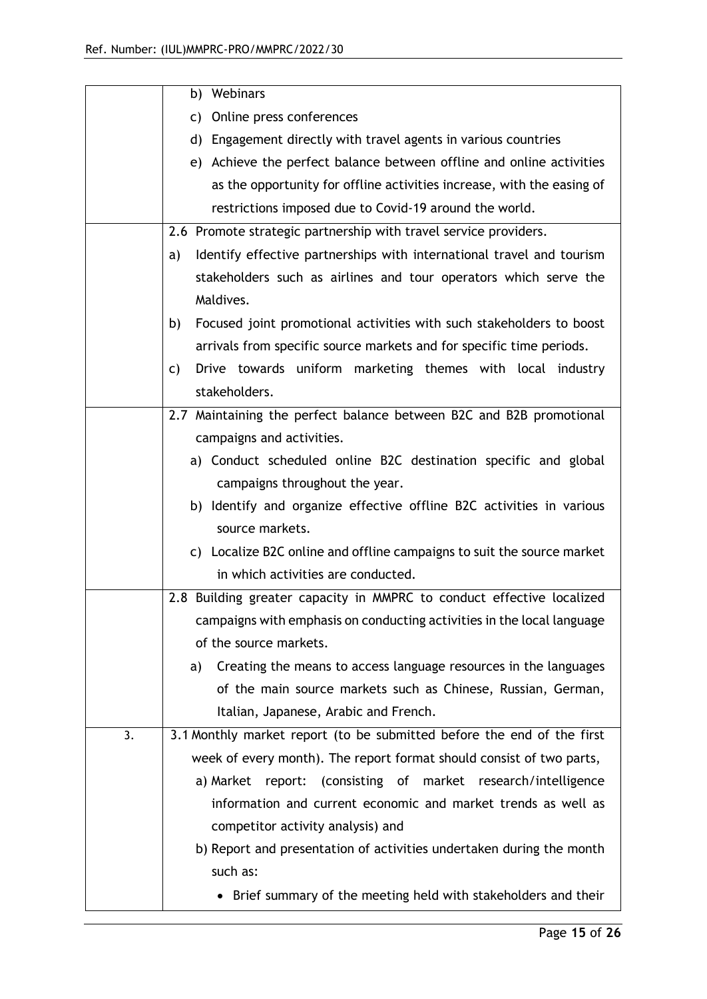|    | b) Webinars                                                                 |
|----|-----------------------------------------------------------------------------|
|    | c) Online press conferences                                                 |
|    | d) Engagement directly with travel agents in various countries              |
|    | e) Achieve the perfect balance between offline and online activities        |
|    | as the opportunity for offline activities increase, with the easing of      |
|    | restrictions imposed due to Covid-19 around the world.                      |
|    | 2.6 Promote strategic partnership with travel service providers.            |
|    | Identify effective partnerships with international travel and tourism<br>a) |
|    | stakeholders such as airlines and tour operators which serve the            |
|    | Maldives.                                                                   |
|    | Focused joint promotional activities with such stakeholders to boost<br>b)  |
|    | arrivals from specific source markets and for specific time periods.        |
|    | Drive towards uniform marketing themes with local industry<br>C)            |
|    | stakeholders.                                                               |
|    | 2.7 Maintaining the perfect balance between B2C and B2B promotional         |
|    | campaigns and activities.                                                   |
|    | a) Conduct scheduled online B2C destination specific and global             |
|    | campaigns throughout the year.                                              |
|    | b) Identify and organize effective offline B2C activities in various        |
|    | source markets.                                                             |
|    | c) Localize B2C online and offline campaigns to suit the source market      |
|    | in which activities are conducted.                                          |
|    | 2.8 Building greater capacity in MMPRC to conduct effective localized       |
|    | campaigns with emphasis on conducting activities in the local language      |
|    | of the source markets.                                                      |
|    | Creating the means to access language resources in the languages<br>a)      |
|    | of the main source markets such as Chinese, Russian, German,                |
|    | Italian, Japanese, Arabic and French.                                       |
| 3. | 3.1 Monthly market report (to be submitted before the end of the first      |
|    | week of every month). The report format should consist of two parts,        |
|    | a) Market report: (consisting of market research/intelligence               |
|    | information and current economic and market trends as well as               |
|    | competitor activity analysis) and                                           |
|    | b) Report and presentation of activities undertaken during the month        |
|    | such as:                                                                    |
|    | Brief summary of the meeting held with stakeholders and their               |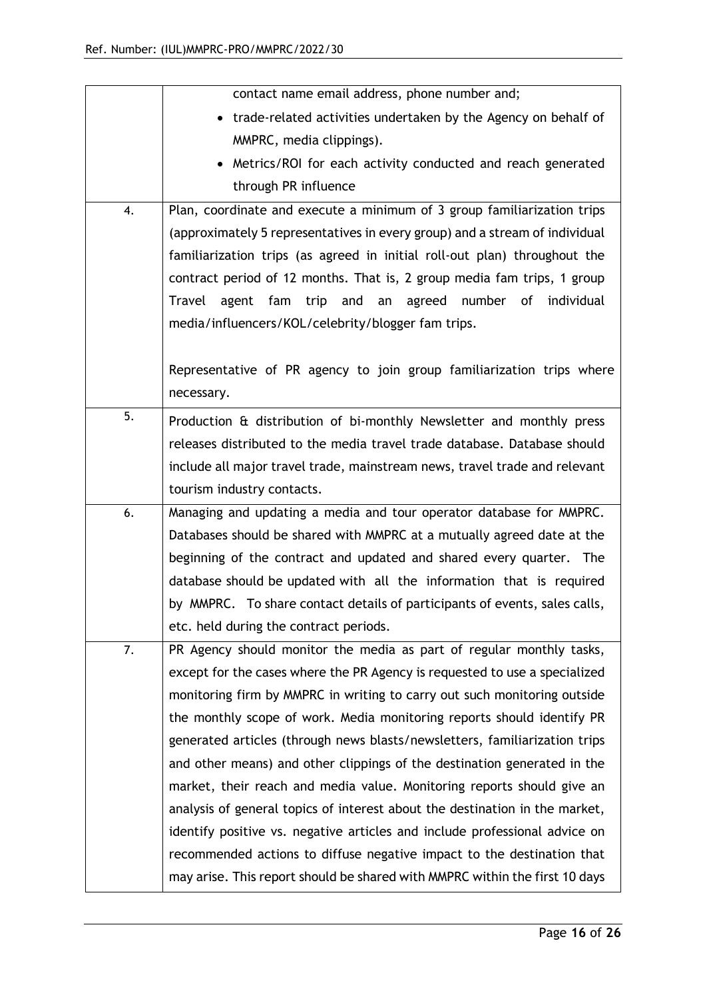|    | contact name email address, phone number and;                                    |
|----|----------------------------------------------------------------------------------|
|    | • trade-related activities undertaken by the Agency on behalf of                 |
|    | MMPRC, media clippings).                                                         |
|    | Metrics/ROI for each activity conducted and reach generated                      |
|    | through PR influence                                                             |
| 4. | Plan, coordinate and execute a minimum of 3 group familiarization trips          |
|    | (approximately 5 representatives in every group) and a stream of individual      |
|    | familiarization trips (as agreed in initial roll-out plan) throughout the        |
|    | contract period of 12 months. That is, 2 group media fam trips, 1 group          |
|    | number of<br>Travel<br>fam<br>trip<br>and<br>agreed<br>individual<br>agent<br>an |
|    | media/influencers/KOL/celebrity/blogger fam trips.                               |
|    |                                                                                  |
|    | Representative of PR agency to join group familiarization trips where            |
|    | necessary.                                                                       |
| 5. | Production & distribution of bi-monthly Newsletter and monthly press             |
|    | releases distributed to the media travel trade database. Database should         |
|    | include all major travel trade, mainstream news, travel trade and relevant       |
|    | tourism industry contacts.                                                       |
| 6. | Managing and updating a media and tour operator database for MMPRC.              |
|    | Databases should be shared with MMPRC at a mutually agreed date at the           |
|    | beginning of the contract and updated and shared every quarter. The              |
|    | database should be updated with all the information that is required             |
|    | by MMPRC. To share contact details of participants of events, sales calls,       |
|    | etc. held during the contract periods.                                           |
| 7. | PR Agency should monitor the media as part of regular monthly tasks,             |
|    | except for the cases where the PR Agency is requested to use a specialized       |
|    | monitoring firm by MMPRC in writing to carry out such monitoring outside         |
|    | the monthly scope of work. Media monitoring reports should identify PR           |
|    | generated articles (through news blasts/newsletters, familiarization trips       |
|    | and other means) and other clippings of the destination generated in the         |
|    | market, their reach and media value. Monitoring reports should give an           |
|    | analysis of general topics of interest about the destination in the market,      |
|    | identify positive vs. negative articles and include professional advice on       |
|    | recommended actions to diffuse negative impact to the destination that           |
|    | may arise. This report should be shared with MMPRC within the first 10 days      |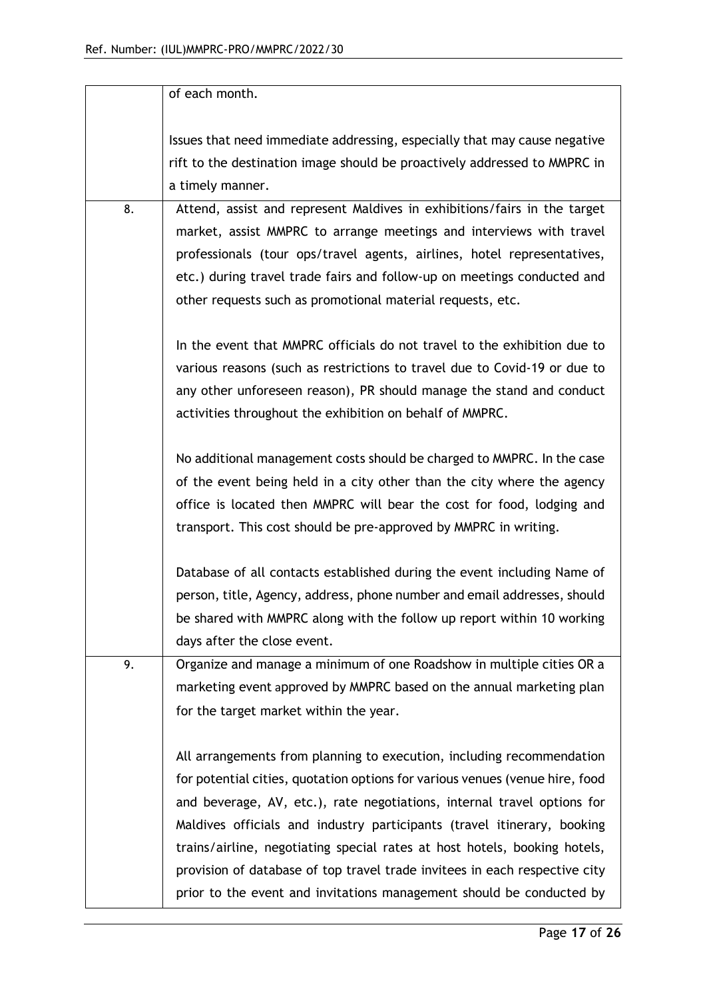|    | of each month.                                                               |
|----|------------------------------------------------------------------------------|
|    | Issues that need immediate addressing, especially that may cause negative    |
|    | rift to the destination image should be proactively addressed to MMPRC in    |
|    | a timely manner.                                                             |
| 8. | Attend, assist and represent Maldives in exhibitions/fairs in the target     |
|    | market, assist MMPRC to arrange meetings and interviews with travel          |
|    | professionals (tour ops/travel agents, airlines, hotel representatives,      |
|    | etc.) during travel trade fairs and follow-up on meetings conducted and      |
|    | other requests such as promotional material requests, etc.                   |
|    | In the event that MMPRC officials do not travel to the exhibition due to     |
|    | various reasons (such as restrictions to travel due to Covid-19 or due to    |
|    | any other unforeseen reason), PR should manage the stand and conduct         |
|    | activities throughout the exhibition on behalf of MMPRC.                     |
|    |                                                                              |
|    | No additional management costs should be charged to MMPRC. In the case       |
|    | of the event being held in a city other than the city where the agency       |
|    | office is located then MMPRC will bear the cost for food, lodging and        |
|    | transport. This cost should be pre-approved by MMPRC in writing.             |
|    |                                                                              |
|    | Database of all contacts established during the event including Name of      |
|    | person, title, Agency, address, phone number and email addresses, should     |
|    | be shared with MMPRC along with the follow up report within 10 working       |
|    | days after the close event.                                                  |
| 9. | Organize and manage a minimum of one Roadshow in multiple cities OR a        |
|    | marketing event approved by MMPRC based on the annual marketing plan         |
|    | for the target market within the year.                                       |
|    | All arrangements from planning to execution, including recommendation        |
|    | for potential cities, quotation options for various venues (venue hire, food |
|    | and beverage, AV, etc.), rate negotiations, internal travel options for      |
|    | Maldives officials and industry participants (travel itinerary, booking      |
|    | trains/airline, negotiating special rates at host hotels, booking hotels,    |
|    | provision of database of top travel trade invitees in each respective city   |
|    | prior to the event and invitations management should be conducted by         |
|    |                                                                              |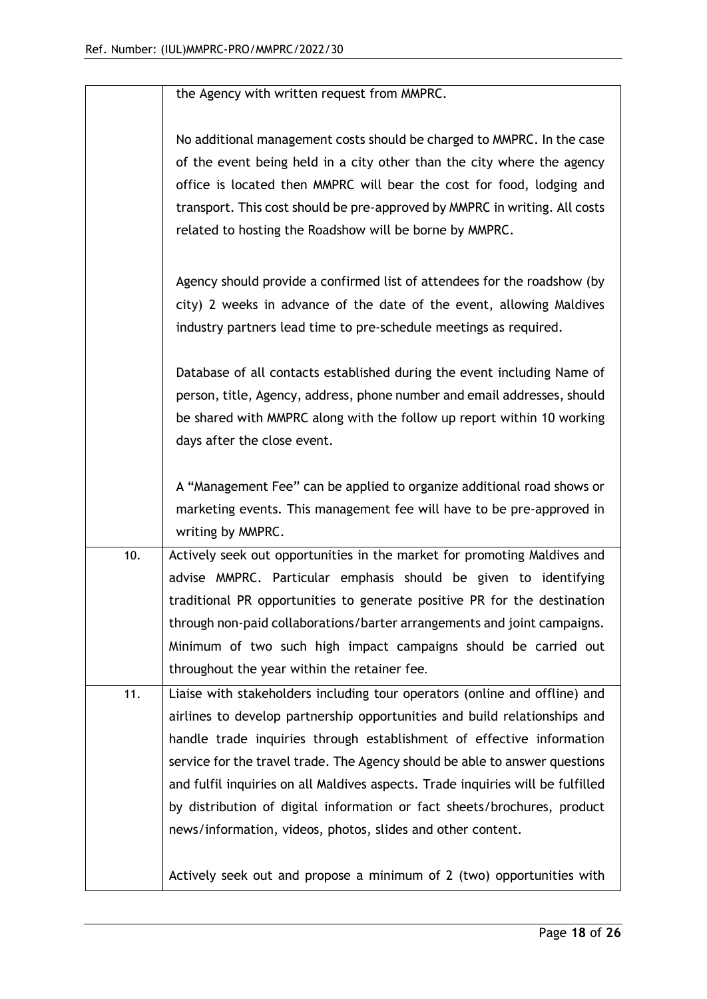| No additional management costs should be charged to MMPRC. In the case<br>of the event being held in a city other than the city where the agency<br>office is located then MMPRC will bear the cost for food, lodging and<br>transport. This cost should be pre-approved by MMPRC in writing. All costs<br>related to hosting the Roadshow will be borne by MMPRC.<br>Agency should provide a confirmed list of attendees for the roadshow (by<br>city) 2 weeks in advance of the date of the event, allowing Maldives<br>industry partners lead time to pre-schedule meetings as required.<br>Database of all contacts established during the event including Name of<br>person, title, Agency, address, phone number and email addresses, should<br>be shared with MMPRC along with the follow up report within 10 working<br>days after the close event.<br>A "Management Fee" can be applied to organize additional road shows or<br>marketing events. This management fee will have to be pre-approved in<br>writing by MMPRC.<br>Actively seek out opportunities in the market for promoting Maldives and<br>10.<br>advise MMPRC. Particular emphasis should be given to identifying<br>traditional PR opportunities to generate positive PR for the destination<br>through non-paid collaborations/barter arrangements and joint campaigns.<br>Minimum of two such high impact campaigns should be carried out<br>throughout the year within the retainer fee.<br>11.<br>Liaise with stakeholders including tour operators (online and offline) and<br>airlines to develop partnership opportunities and build relationships and<br>handle trade inquiries through establishment of effective information<br>service for the travel trade. The Agency should be able to answer questions<br>and fulfil inquiries on all Maldives aspects. Trade inquiries will be fulfilled<br>by distribution of digital information or fact sheets/brochures, product<br>news/information, videos, photos, slides and other content. |                                                                       |
|-------------------------------------------------------------------------------------------------------------------------------------------------------------------------------------------------------------------------------------------------------------------------------------------------------------------------------------------------------------------------------------------------------------------------------------------------------------------------------------------------------------------------------------------------------------------------------------------------------------------------------------------------------------------------------------------------------------------------------------------------------------------------------------------------------------------------------------------------------------------------------------------------------------------------------------------------------------------------------------------------------------------------------------------------------------------------------------------------------------------------------------------------------------------------------------------------------------------------------------------------------------------------------------------------------------------------------------------------------------------------------------------------------------------------------------------------------------------------------------------------------------------------------------------------------------------------------------------------------------------------------------------------------------------------------------------------------------------------------------------------------------------------------------------------------------------------------------------------------------------------------------------------------------------------------------------------------------------------------------------------------------------------------|-----------------------------------------------------------------------|
|                                                                                                                                                                                                                                                                                                                                                                                                                                                                                                                                                                                                                                                                                                                                                                                                                                                                                                                                                                                                                                                                                                                                                                                                                                                                                                                                                                                                                                                                                                                                                                                                                                                                                                                                                                                                                                                                                                                                                                                                                               |                                                                       |
|                                                                                                                                                                                                                                                                                                                                                                                                                                                                                                                                                                                                                                                                                                                                                                                                                                                                                                                                                                                                                                                                                                                                                                                                                                                                                                                                                                                                                                                                                                                                                                                                                                                                                                                                                                                                                                                                                                                                                                                                                               |                                                                       |
|                                                                                                                                                                                                                                                                                                                                                                                                                                                                                                                                                                                                                                                                                                                                                                                                                                                                                                                                                                                                                                                                                                                                                                                                                                                                                                                                                                                                                                                                                                                                                                                                                                                                                                                                                                                                                                                                                                                                                                                                                               |                                                                       |
|                                                                                                                                                                                                                                                                                                                                                                                                                                                                                                                                                                                                                                                                                                                                                                                                                                                                                                                                                                                                                                                                                                                                                                                                                                                                                                                                                                                                                                                                                                                                                                                                                                                                                                                                                                                                                                                                                                                                                                                                                               |                                                                       |
|                                                                                                                                                                                                                                                                                                                                                                                                                                                                                                                                                                                                                                                                                                                                                                                                                                                                                                                                                                                                                                                                                                                                                                                                                                                                                                                                                                                                                                                                                                                                                                                                                                                                                                                                                                                                                                                                                                                                                                                                                               |                                                                       |
|                                                                                                                                                                                                                                                                                                                                                                                                                                                                                                                                                                                                                                                                                                                                                                                                                                                                                                                                                                                                                                                                                                                                                                                                                                                                                                                                                                                                                                                                                                                                                                                                                                                                                                                                                                                                                                                                                                                                                                                                                               |                                                                       |
|                                                                                                                                                                                                                                                                                                                                                                                                                                                                                                                                                                                                                                                                                                                                                                                                                                                                                                                                                                                                                                                                                                                                                                                                                                                                                                                                                                                                                                                                                                                                                                                                                                                                                                                                                                                                                                                                                                                                                                                                                               | Actively seek out and propose a minimum of 2 (two) opportunities with |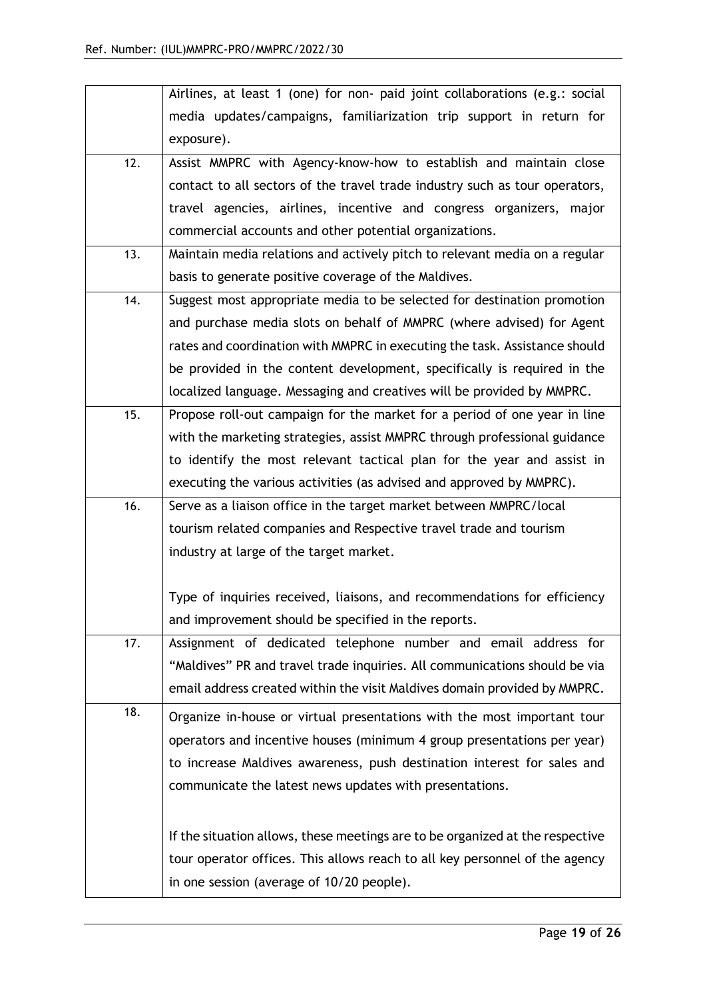|     | Airlines, at least 1 (one) for non- paid joint collaborations (e.g.: social   |
|-----|-------------------------------------------------------------------------------|
|     | media updates/campaigns, familiarization trip support in return for           |
|     | exposure).                                                                    |
| 12. | Assist MMPRC with Agency-know-how to establish and maintain close             |
|     | contact to all sectors of the travel trade industry such as tour operators,   |
|     | travel agencies, airlines, incentive and congress organizers, major           |
|     | commercial accounts and other potential organizations.                        |
| 13. | Maintain media relations and actively pitch to relevant media on a regular    |
|     | basis to generate positive coverage of the Maldives.                          |
| 14. | Suggest most appropriate media to be selected for destination promotion       |
|     | and purchase media slots on behalf of MMPRC (where advised) for Agent         |
|     | rates and coordination with MMPRC in executing the task. Assistance should    |
|     | be provided in the content development, specifically is required in the       |
|     | localized language. Messaging and creatives will be provided by MMPRC.        |
| 15. | Propose roll-out campaign for the market for a period of one year in line     |
|     | with the marketing strategies, assist MMPRC through professional guidance     |
|     | to identify the most relevant tactical plan for the year and assist in        |
|     | executing the various activities (as advised and approved by MMPRC).          |
| 16. | Serve as a liaison office in the target market between MMPRC/local            |
|     | tourism related companies and Respective travel trade and tourism             |
|     | industry at large of the target market.                                       |
|     |                                                                               |
|     | Type of inquiries received, liaisons, and recommendations for efficiency      |
|     | and improvement should be specified in the reports.                           |
| 17. | Assignment of dedicated telephone number and email address for                |
|     | "Maldives" PR and travel trade inquiries. All communications should be via    |
|     | email address created within the visit Maldives domain provided by MMPRC.     |
| 18. | Organize in-house or virtual presentations with the most important tour       |
|     | operators and incentive houses (minimum 4 group presentations per year)       |
|     | to increase Maldives awareness, push destination interest for sales and       |
|     | communicate the latest news updates with presentations.                       |
|     |                                                                               |
|     | If the situation allows, these meetings are to be organized at the respective |
|     | tour operator offices. This allows reach to all key personnel of the agency   |
|     | in one session (average of 10/20 people).                                     |
|     |                                                                               |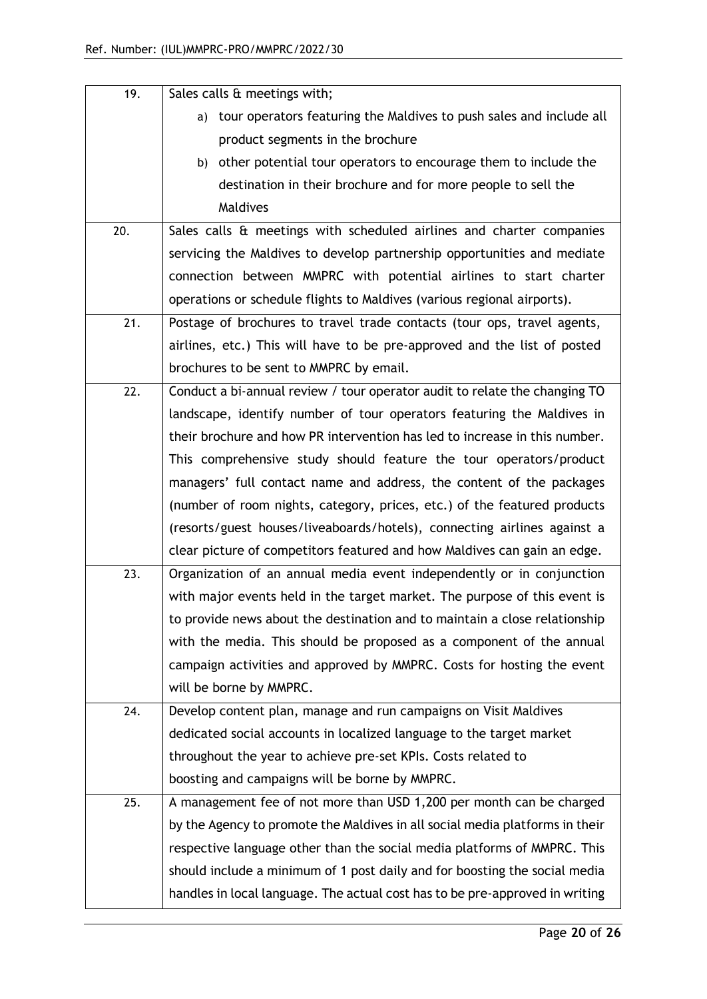| 19. | Sales calls & meetings with;                                                 |
|-----|------------------------------------------------------------------------------|
|     | tour operators featuring the Maldives to push sales and include all<br>a)    |
|     | product segments in the brochure                                             |
|     | b) other potential tour operators to encourage them to include the           |
|     | destination in their brochure and for more people to sell the                |
|     | Maldives                                                                     |
| 20. | Sales calls & meetings with scheduled airlines and charter companies         |
|     | servicing the Maldives to develop partnership opportunities and mediate      |
|     | connection between MMPRC with potential airlines to start charter            |
|     | operations or schedule flights to Maldives (various regional airports).      |
| 21. | Postage of brochures to travel trade contacts (tour ops, travel agents,      |
|     | airlines, etc.) This will have to be pre-approved and the list of posted     |
|     | brochures to be sent to MMPRC by email.                                      |
| 22. | Conduct a bi-annual review / tour operator audit to relate the changing TO   |
|     | landscape, identify number of tour operators featuring the Maldives in       |
|     | their brochure and how PR intervention has led to increase in this number.   |
|     | This comprehensive study should feature the tour operators/product           |
|     | managers' full contact name and address, the content of the packages         |
|     | (number of room nights, category, prices, etc.) of the featured products     |
|     | (resorts/guest houses/liveaboards/hotels), connecting airlines against a     |
|     | clear picture of competitors featured and how Maldives can gain an edge.     |
| 23. | Organization of an annual media event independently or in conjunction        |
|     | with major events held in the target market. The purpose of this event is    |
|     | to provide news about the destination and to maintain a close relationship   |
|     | with the media. This should be proposed as a component of the annual         |
|     | campaign activities and approved by MMPRC. Costs for hosting the event       |
|     | will be borne by MMPRC.                                                      |
| 24. | Develop content plan, manage and run campaigns on Visit Maldives             |
|     | dedicated social accounts in localized language to the target market         |
|     | throughout the year to achieve pre-set KPIs. Costs related to                |
|     | boosting and campaigns will be borne by MMPRC.                               |
| 25. | A management fee of not more than USD 1,200 per month can be charged         |
|     | by the Agency to promote the Maldives in all social media platforms in their |
|     | respective language other than the social media platforms of MMPRC. This     |
|     | should include a minimum of 1 post daily and for boosting the social media   |
|     | handles in local language. The actual cost has to be pre-approved in writing |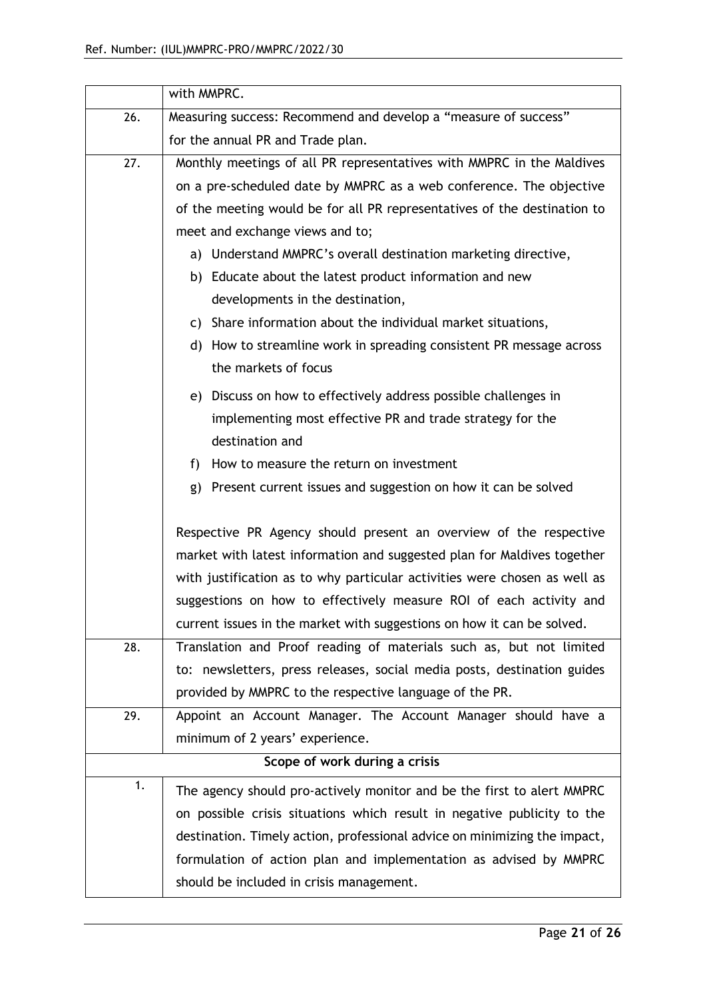|     | with MMPRC.                                                                                 |  |  |
|-----|---------------------------------------------------------------------------------------------|--|--|
| 26. | Measuring success: Recommend and develop a "measure of success"                             |  |  |
|     | for the annual PR and Trade plan.                                                           |  |  |
| 27. | Monthly meetings of all PR representatives with MMPRC in the Maldives                       |  |  |
|     | on a pre-scheduled date by MMPRC as a web conference. The objective                         |  |  |
|     | of the meeting would be for all PR representatives of the destination to                    |  |  |
|     | meet and exchange views and to;                                                             |  |  |
|     | a) Understand MMPRC's overall destination marketing directive,                              |  |  |
|     | b) Educate about the latest product information and new                                     |  |  |
|     | developments in the destination,                                                            |  |  |
|     | c) Share information about the individual market situations,                                |  |  |
|     | d) How to streamline work in spreading consistent PR message across<br>the markets of focus |  |  |
|     | e) Discuss on how to effectively address possible challenges in                             |  |  |
|     | implementing most effective PR and trade strategy for the                                   |  |  |
|     | destination and                                                                             |  |  |
|     | How to measure the return on investment<br>f)                                               |  |  |
|     | Present current issues and suggestion on how it can be solved<br>g)                         |  |  |
|     | Respective PR Agency should present an overview of the respective                           |  |  |
|     | market with latest information and suggested plan for Maldives together                     |  |  |
|     | with justification as to why particular activities were chosen as well as                   |  |  |
|     | suggestions on how to effectively measure ROI of each activity and                          |  |  |
|     | current issues in the market with suggestions on how it can be solved.                      |  |  |
| 28. | Translation and Proof reading of materials such as, but not limited                         |  |  |
|     | to: newsletters, press releases, social media posts, destination guides                     |  |  |
|     | provided by MMPRC to the respective language of the PR.                                     |  |  |
| 29. | Appoint an Account Manager. The Account Manager should have a                               |  |  |
|     | minimum of 2 years' experience.                                                             |  |  |
|     | Scope of work during a crisis                                                               |  |  |
| 1.  | The agency should pro-actively monitor and be the first to alert MMPRC                      |  |  |
|     | on possible crisis situations which result in negative publicity to the                     |  |  |
|     | destination. Timely action, professional advice on minimizing the impact,                   |  |  |
|     | formulation of action plan and implementation as advised by MMPRC                           |  |  |
|     | should be included in crisis management.                                                    |  |  |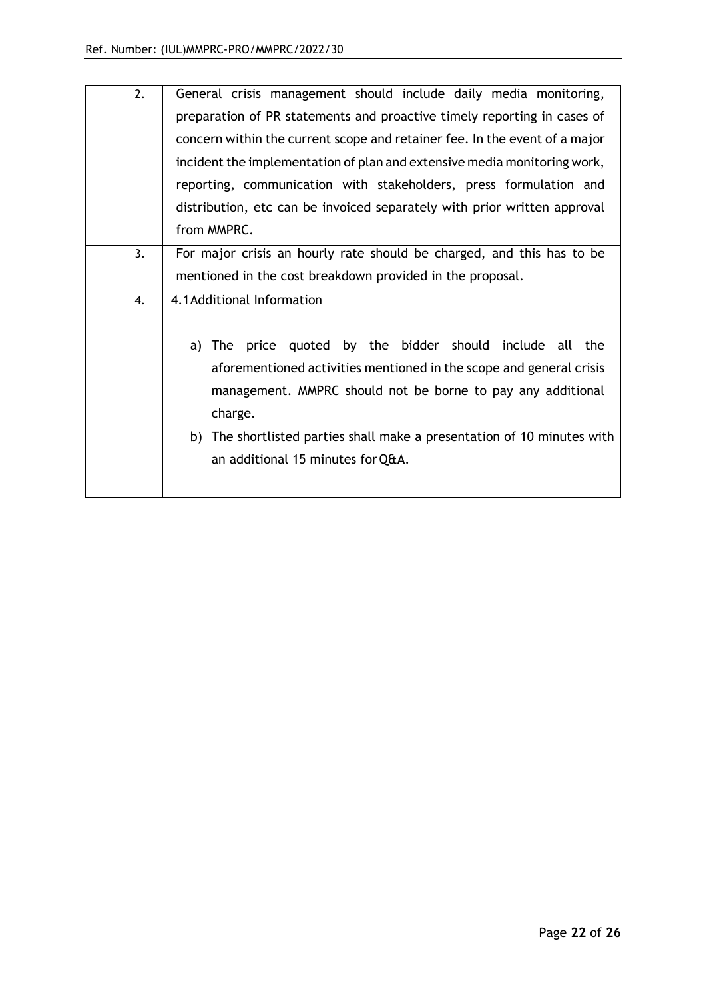| 2. | General crisis management should include daily media monitoring,           |
|----|----------------------------------------------------------------------------|
|    | preparation of PR statements and proactive timely reporting in cases of    |
|    | concern within the current scope and retainer fee. In the event of a major |
|    | incident the implementation of plan and extensive media monitoring work,   |
|    | reporting, communication with stakeholders, press formulation and          |
|    | distribution, etc can be invoiced separately with prior written approval   |
|    | from MMPRC.                                                                |
| 3. | For major crisis an hourly rate should be charged, and this has to be      |
|    | mentioned in the cost breakdown provided in the proposal.                  |
| 4. | 4.1 Additional Information                                                 |
|    |                                                                            |
|    | price quoted by the bidder should include all the<br>a) The                |
|    | aforementioned activities mentioned in the scope and general crisis        |
|    | management. MMPRC should not be borne to pay any additional                |
|    | charge.                                                                    |
|    | b) The shortlisted parties shall make a presentation of 10 minutes with    |
|    | an additional 15 minutes for Q&A.                                          |
|    |                                                                            |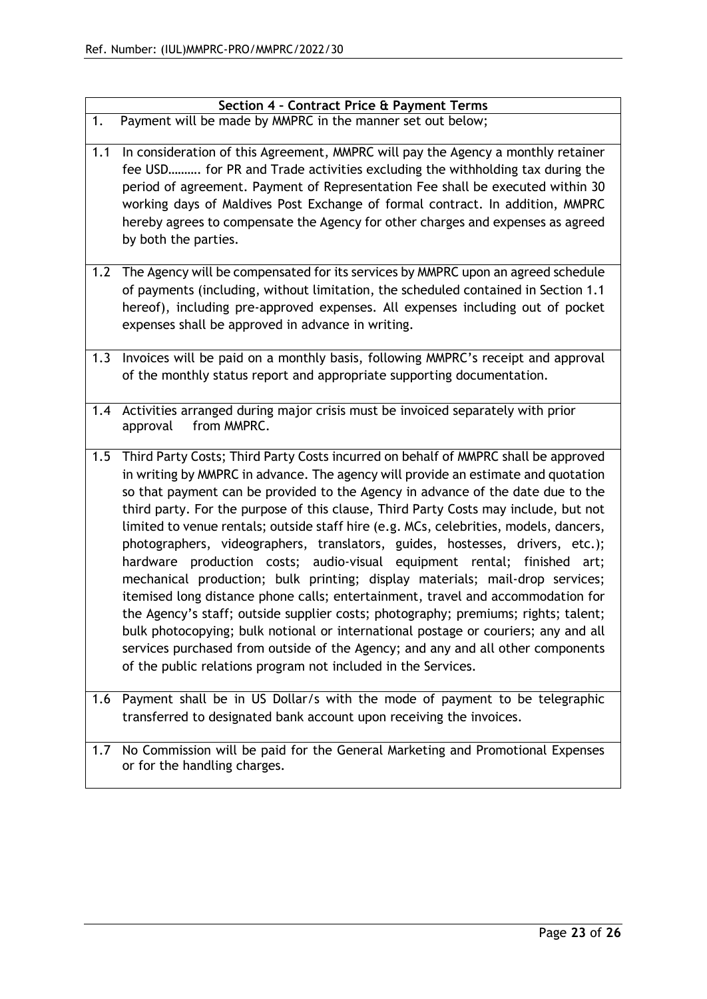| Section 4 - Contract Price & Payment Terms                                                                                                                                                                                                                                                                                                                                                                                                                                                                                                                                                                                                                                                                                                                                                                                                                                                                                                                                                                                                                                                         |                  |
|----------------------------------------------------------------------------------------------------------------------------------------------------------------------------------------------------------------------------------------------------------------------------------------------------------------------------------------------------------------------------------------------------------------------------------------------------------------------------------------------------------------------------------------------------------------------------------------------------------------------------------------------------------------------------------------------------------------------------------------------------------------------------------------------------------------------------------------------------------------------------------------------------------------------------------------------------------------------------------------------------------------------------------------------------------------------------------------------------|------------------|
|                                                                                                                                                                                                                                                                                                                                                                                                                                                                                                                                                                                                                                                                                                                                                                                                                                                                                                                                                                                                                                                                                                    |                  |
| Payment will be made by MMPRC in the manner set out below;<br>1.                                                                                                                                                                                                                                                                                                                                                                                                                                                                                                                                                                                                                                                                                                                                                                                                                                                                                                                                                                                                                                   |                  |
| 1.1<br>In consideration of this Agreement, MMPRC will pay the Agency a monthly retainer<br>fee USD for PR and Trade activities excluding the withholding tax during the<br>period of agreement. Payment of Representation Fee shall be executed within 30<br>working days of Maldives Post Exchange of formal contract. In addition, MMPRC<br>hereby agrees to compensate the Agency for other charges and expenses as agreed<br>by both the parties.                                                                                                                                                                                                                                                                                                                                                                                                                                                                                                                                                                                                                                              |                  |
| The Agency will be compensated for its services by MMPRC upon an agreed schedule<br>1.2<br>of payments (including, without limitation, the scheduled contained in Section 1.1<br>hereof), including pre-approved expenses. All expenses including out of pocket<br>expenses shall be approved in advance in writing.                                                                                                                                                                                                                                                                                                                                                                                                                                                                                                                                                                                                                                                                                                                                                                               |                  |
| Invoices will be paid on a monthly basis, following MMPRC's receipt and approval<br>1.3<br>of the monthly status report and appropriate supporting documentation.                                                                                                                                                                                                                                                                                                                                                                                                                                                                                                                                                                                                                                                                                                                                                                                                                                                                                                                                  |                  |
| Activities arranged during major crisis must be invoiced separately with prior<br>1.4<br>from MMPRC.<br>approval                                                                                                                                                                                                                                                                                                                                                                                                                                                                                                                                                                                                                                                                                                                                                                                                                                                                                                                                                                                   |                  |
| Third Party Costs; Third Party Costs incurred on behalf of MMPRC shall be approved<br>1.5<br>in writing by MMPRC in advance. The agency will provide an estimate and quotation<br>so that payment can be provided to the Agency in advance of the date due to the<br>third party. For the purpose of this clause, Third Party Costs may include, but not<br>limited to venue rentals; outside staff hire (e.g. MCs, celebrities, models, dancers,<br>photographers, videographers, translators, guides, hostesses, drivers, etc.);<br>hardware production costs; audio-visual equipment rental;<br>mechanical production; bulk printing; display materials; mail-drop services;<br>itemised long distance phone calls; entertainment, travel and accommodation for<br>the Agency's staff; outside supplier costs; photography; premiums; rights; talent;<br>bulk photocopying; bulk notional or international postage or couriers; any and all<br>services purchased from outside of the Agency; and any and all other components<br>of the public relations program not included in the Services. | finished<br>art; |
| Payment shall be in US Dollar/s with the mode of payment to be telegraphic<br>1.6<br>transferred to designated bank account upon receiving the invoices.                                                                                                                                                                                                                                                                                                                                                                                                                                                                                                                                                                                                                                                                                                                                                                                                                                                                                                                                           |                  |
| No Commission will be paid for the General Marketing and Promotional Expenses<br>1.7<br>or for the handling charges.                                                                                                                                                                                                                                                                                                                                                                                                                                                                                                                                                                                                                                                                                                                                                                                                                                                                                                                                                                               |                  |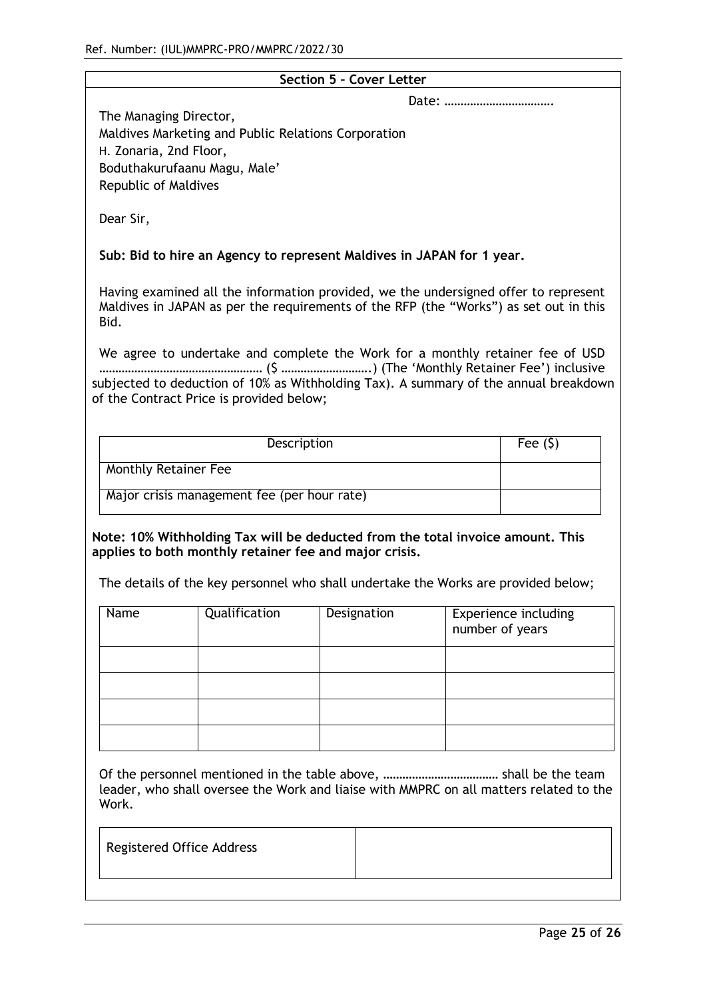| Tel. Nullibel. (IUL)MWFRC-PRO/MWFRC/ZUZZ/30                                                                                   |                                                         |                                                                                                                                                                                                                                                                                                                                        |                 |                             |
|-------------------------------------------------------------------------------------------------------------------------------|---------------------------------------------------------|----------------------------------------------------------------------------------------------------------------------------------------------------------------------------------------------------------------------------------------------------------------------------------------------------------------------------------------|-----------------|-----------------------------|
|                                                                                                                               |                                                         | Section 5 - Cover Letter                                                                                                                                                                                                                                                                                                               |                 |                             |
| The Managing Director,<br>H. Zonaria, 2nd Floor,<br>Boduthakurufaanu Magu, Male'<br>Republic of Maldives<br>Dear Sir,<br>Bid. | Maldives Marketing and Public Relations Corporation     | Sub: Bid to hire an Agency to represent Maldives in JAPAN for 1 year.<br>Having examined all the information provided, we the undersigned offer to represent<br>Maldives in JAPAN as per the requirements of the RFP (the "Works") as set out in this<br>We agree to undertake and complete the Work for a monthly retainer fee of USD |                 |                             |
|                                                                                                                               | of the Contract Price is provided below;<br>Description | subjected to deduction of 10% as Withholding Tax). A summary of the annual breakdown                                                                                                                                                                                                                                                   |                 | Fee $(5)$                   |
|                                                                                                                               |                                                         |                                                                                                                                                                                                                                                                                                                                        |                 |                             |
| <b>Monthly Retainer Fee</b>                                                                                                   |                                                         |                                                                                                                                                                                                                                                                                                                                        |                 |                             |
|                                                                                                                               | Major crisis management fee (per hour rate)             |                                                                                                                                                                                                                                                                                                                                        |                 |                             |
| Name                                                                                                                          | Qualification                                           | Note: 10% Withholding Tax will be deducted from the total invoice amount. This<br>applies to both monthly retainer fee and major crisis.<br>The details of the key personnel who shall undertake the Works are provided below;<br>Designation                                                                                          | number of years | <b>Experience including</b> |
| Work.<br>Registered Office Address                                                                                            |                                                         | leader, who shall oversee the Work and liaise with MMPRC on all matters related to the                                                                                                                                                                                                                                                 |                 |                             |